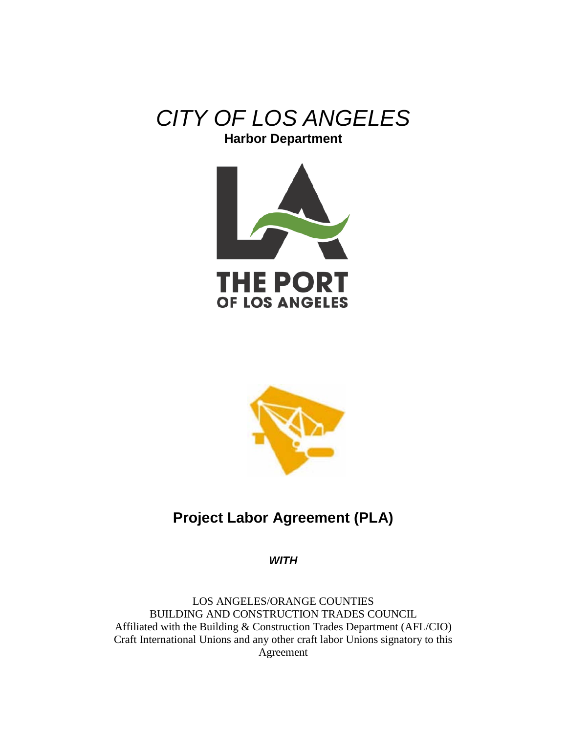





# **Project Labor Agreement (PLA)**

*WITH* 

LOS ANGELES/ORANGE COUNTIES BUILDING AND CONSTRUCTION TRADES COUNCIL Affiliated with the Building & Construction Trades Department (AFL/CIO) Craft International Unions and any other craft labor Unions signatory to this Agreement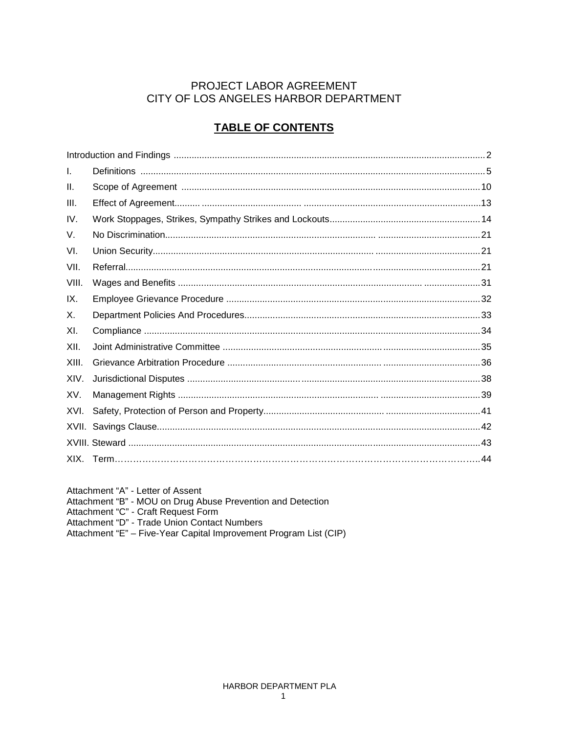## PROJECT LABOR AGREEMENT CITY OF LOS ANGELES HARBOR DEPARTMENT

## **TABLE OF CONTENTS**

| I.    |  |
|-------|--|
| H.    |  |
| III.  |  |
| IV.   |  |
| V.    |  |
| VI.   |  |
| VII.  |  |
| VIII. |  |
| IX.   |  |
| Χ.    |  |
| XI.   |  |
| XII.  |  |
| XIII. |  |
| XIV.  |  |
| XV.   |  |
| XVI.  |  |
|       |  |
|       |  |
|       |  |

Attachment "A" - Letter of Assent Attachment "B" - MOU on Drug Abuse Prevention and Detection<br>Attachment "C" - Craft Request Form

Attachment "D" - Trade Union Contact Numbers<br>Attachment "D" - Trade Union Contact Numbers<br>Attachment "E" – Five-Year Capital Improvement Program List (CIP)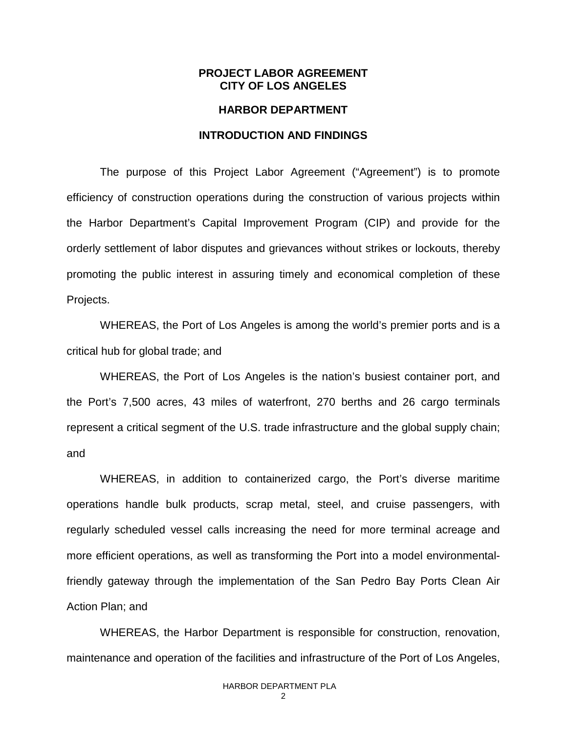### **PROJECT LABOR AGREEMENT CITY OF LOS ANGELES**

### **HARBOR DEPARTMENT**

### **INTRODUCTION AND FINDINGS**

The purpose of this Project Labor Agreement ("Agreement") is to promote efficiency of construction operations during the construction of various projects within the Harbor Department's Capital Improvement Program (CIP) and provide for the orderly settlement of labor disputes and grievances without strikes or lockouts, thereby promoting the public interest in assuring timely and economical completion of these Projects.

WHEREAS, the Port of Los Angeles is among the world's premier ports and is a critical hub for global trade; and

WHEREAS, the Port of Los Angeles is the nation's busiest container port, and the Port's 7,500 acres, 43 miles of waterfront, 270 berths and 26 cargo terminals represent a critical segment of the U.S. trade infrastructure and the global supply chain; and

WHEREAS, in addition to containerized cargo, the Port's diverse maritime operations handle bulk products, scrap metal, steel, and cruise passengers, with regularly scheduled vessel calls increasing the need for more terminal acreage and more efficient operations, as well as transforming the Port into a model environmentalfriendly gateway through the implementation of the San Pedro Bay Ports Clean Air Action Plan; and

WHEREAS, the Harbor Department is responsible for construction, renovation, maintenance and operation of the facilities and infrastructure of the Port of Los Angeles,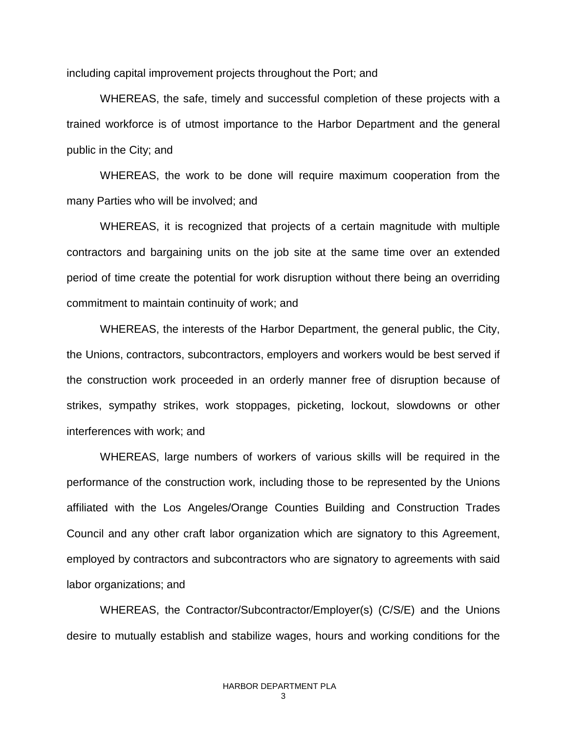including capital improvement projects throughout the Port; and

WHEREAS, the safe, timely and successful completion of these projects with a trained workforce is of utmost importance to the Harbor Department and the general public in the City; and

WHEREAS, the work to be done will require maximum cooperation from the many Parties who will be involved; and

WHEREAS, it is recognized that projects of a certain magnitude with multiple contractors and bargaining units on the job site at the same time over an extended period of time create the potential for work disruption without there being an overriding commitment to maintain continuity of work; and

WHEREAS, the interests of the Harbor Department, the general public, the City, the Unions, contractors, subcontractors, employers and workers would be best served if the construction work proceeded in an orderly manner free of disruption because of strikes, sympathy strikes, work stoppages, picketing, lockout, slowdowns or other interferences with work; and

WHEREAS, large numbers of workers of various skills will be required in the performance of the construction work, including those to be represented by the Unions affiliated with the Los Angeles/Orange Counties Building and Construction Trades Council and any other craft labor organization which are signatory to this Agreement, employed by contractors and subcontractors who are signatory to agreements with said labor organizations; and

WHEREAS, the Contractor/Subcontractor/Employer(s) (C/S/E) and the Unions desire to mutually establish and stabilize wages, hours and working conditions for the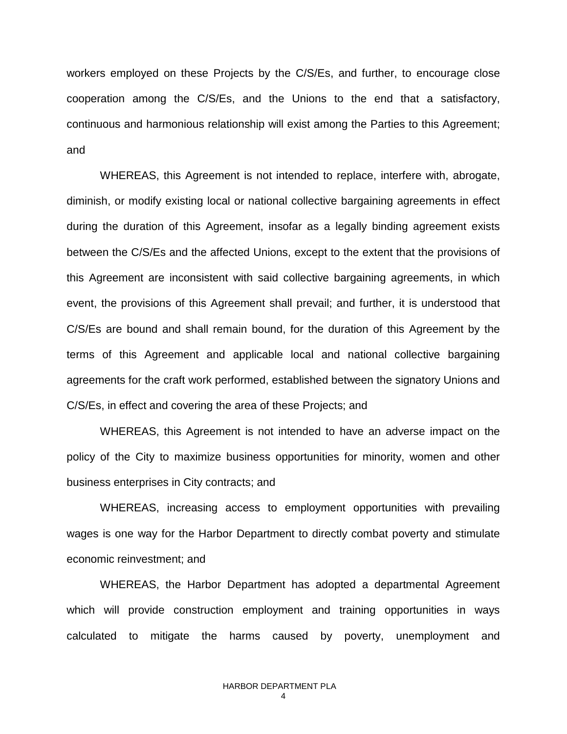workers employed on these Projects by the C/S/Es, and further, to encourage close cooperation among the C/S/Es, and the Unions to the end that a satisfactory, continuous and harmonious relationship will exist among the Parties to this Agreement; and

WHEREAS, this Agreement is not intended to replace, interfere with, abrogate, diminish, or modify existing local or national collective bargaining agreements in effect during the duration of this Agreement, insofar as a legally binding agreement exists between the C/S/Es and the affected Unions, except to the extent that the provisions of this Agreement are inconsistent with said collective bargaining agreements, in which event, the provisions of this Agreement shall prevail; and further, it is understood that C/S/Es are bound and shall remain bound, for the duration of this Agreement by the terms of this Agreement and applicable local and national collective bargaining agreements for the craft work performed, established between the signatory Unions and C/S/Es, in effect and covering the area of these Projects; and

WHEREAS, this Agreement is not intended to have an adverse impact on the policy of the City to maximize business opportunities for minority, women and other business enterprises in City contracts; and

WHEREAS, increasing access to employment opportunities with prevailing wages is one way for the Harbor Department to directly combat poverty and stimulate economic reinvestment; and

WHEREAS, the Harbor Department has adopted a departmental Agreement which will provide construction employment and training opportunities in ways calculated to mitigate the harms caused by poverty, unemployment and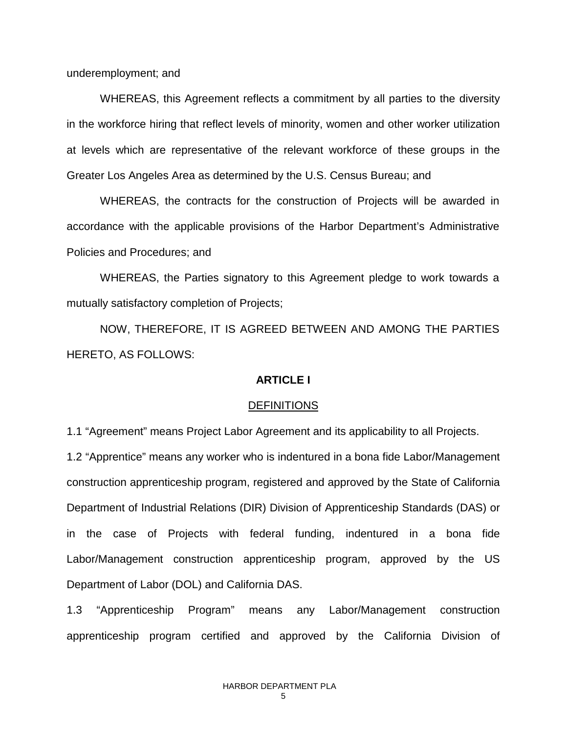underemployment; and

WHEREAS, this Agreement reflects a commitment by all parties to the diversity in the workforce hiring that reflect levels of minority, women and other worker utilization at levels which are representative of the relevant workforce of these groups in the Greater Los Angeles Area as determined by the U.S. Census Bureau; and

WHEREAS, the contracts for the construction of Projects will be awarded in accordance with the applicable provisions of the Harbor Department's Administrative Policies and Procedures; and

WHEREAS, the Parties signatory to this Agreement pledge to work towards a mutually satisfactory completion of Projects;

NOW, THEREFORE, IT IS AGREED BETWEEN AND AMONG THE PARTIES HERETO, AS FOLLOWS:

### **ARTICLE I**

#### DEFINITIONS

1.1 "Agreement" means Project Labor Agreement and its applicability to all Projects.

1.2 "Apprentice" means any worker who is indentured in a bona fide Labor/Management construction apprenticeship program, registered and approved by the State of California Department of Industrial Relations (DIR) Division of Apprenticeship Standards (DAS) or in the case of Projects with federal funding, indentured in a bona fide Labor/Management construction apprenticeship program, approved by the US Department of Labor (DOL) and California DAS.

1.3 "Apprenticeship Program" means any Labor/Management construction apprenticeship program certified and approved by the California Division of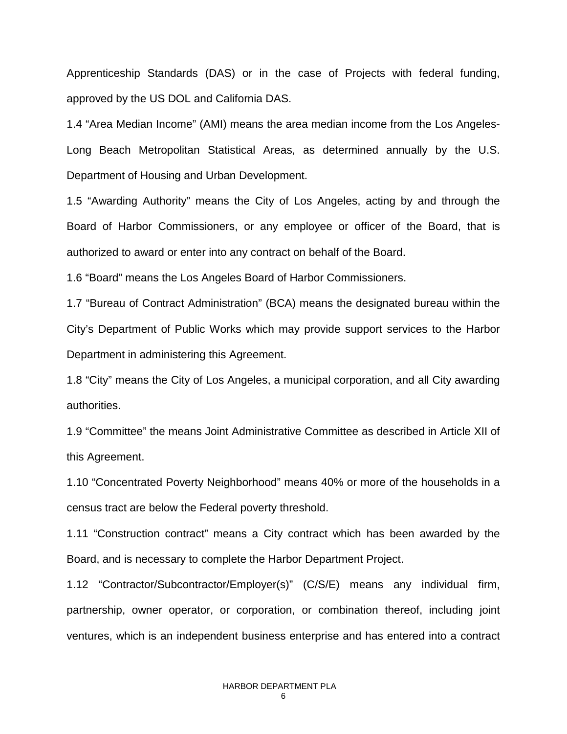Apprenticeship Standards (DAS) or in the case of Projects with federal funding, approved by the US DOL and California DAS.

1.4 "Area Median Income" (AMI) means the area median income from the Los Angeles-Long Beach Metropolitan Statistical Areas, as determined annually by the U.S. Department of Housing and Urban Development.

1.5 "Awarding Authority" means the City of Los Angeles, acting by and through the Board of Harbor Commissioners, or any employee or officer of the Board, that is authorized to award or enter into any contract on behalf of the Board.

1.6 "Board" means the Los Angeles Board of Harbor Commissioners.

1.7 "Bureau of Contract Administration" (BCA) means the designated bureau within the City's Department of Public Works which may provide support services to the Harbor Department in administering this Agreement.

1.8 "City" means the City of Los Angeles, a municipal corporation, and all City awarding authorities.

1.9 "Committee" the means Joint Administrative Committee as described in Article XII of this Agreement.

1.10 "Concentrated Poverty Neighborhood" means 40% or more of the households in a census tract are below the Federal poverty threshold.

1.11 "Construction contract" means a City contract which has been awarded by the Board, and is necessary to complete the Harbor Department Project.

1.12 "Contractor/Subcontractor/Employer(s)" (C/S/E) means any individual firm, partnership, owner operator, or corporation, or combination thereof, including joint ventures, which is an independent business enterprise and has entered into a contract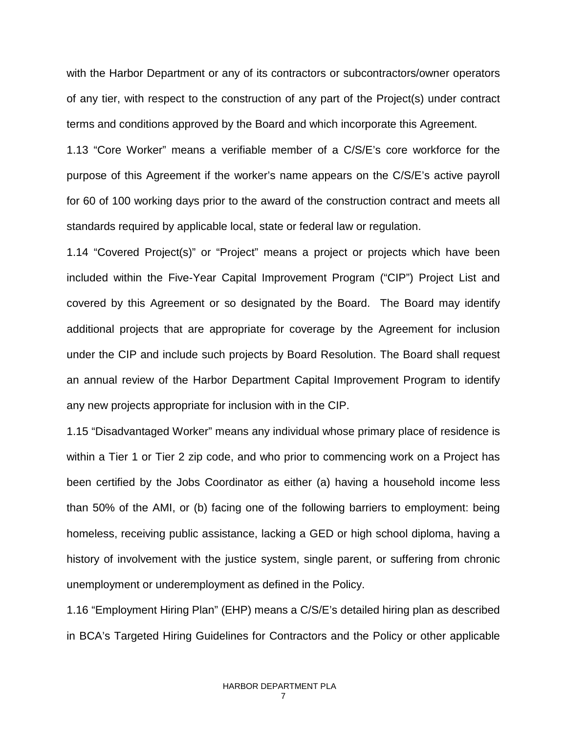with the Harbor Department or any of its contractors or subcontractors/owner operators of any tier, with respect to the construction of any part of the Project(s) under contract terms and conditions approved by the Board and which incorporate this Agreement.

1.13 "Core Worker" means a verifiable member of a C/S/E's core workforce for the purpose of this Agreement if the worker's name appears on the C/S/E's active payroll for 60 of 100 working days prior to the award of the construction contract and meets all standards required by applicable local, state or federal law or regulation.

1.14 "Covered Project(s)" or "Project" means a project or projects which have been included within the Five-Year Capital Improvement Program ("CIP") Project List and covered by this Agreement or so designated by the Board. The Board may identify additional projects that are appropriate for coverage by the Agreement for inclusion under the CIP and include such projects by Board Resolution. The Board shall request an annual review of the Harbor Department Capital Improvement Program to identify any new projects appropriate for inclusion with in the CIP.

1.15 "Disadvantaged Worker" means any individual whose primary place of residence is within a Tier 1 or Tier 2 zip code, and who prior to commencing work on a Project has been certified by the Jobs Coordinator as either (a) having a household income less than 50% of the AMI, or (b) facing one of the following barriers to employment: being homeless, receiving public assistance, lacking a GED or high school diploma, having a history of involvement with the justice system, single parent, or suffering from chronic unemployment or underemployment as defined in the Policy.

1.16 "Employment Hiring Plan" (EHP) means a C/S/E's detailed hiring plan as described in BCA's Targeted Hiring Guidelines for Contractors and the Policy or other applicable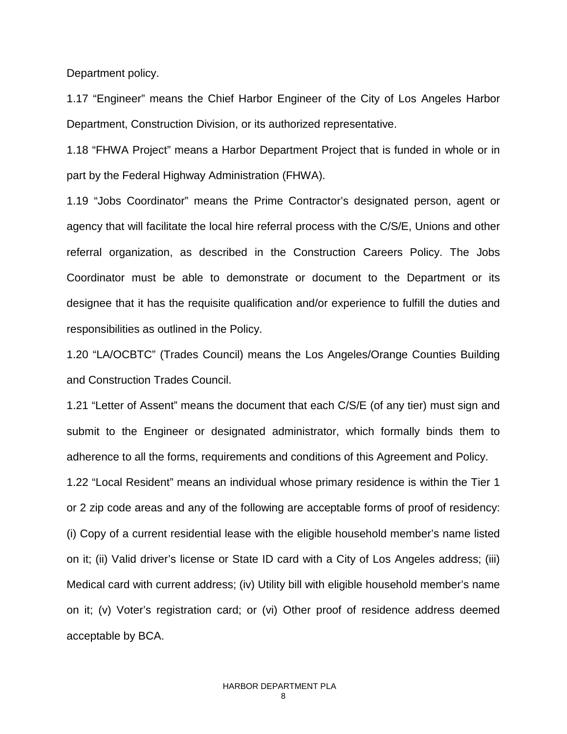Department policy.

1.17 "Engineer" means the Chief Harbor Engineer of the City of Los Angeles Harbor Department, Construction Division, or its authorized representative.

1.18 "FHWA Project" means a Harbor Department Project that is funded in whole or in part by the Federal Highway Administration (FHWA).

1.19 "Jobs Coordinator" means the Prime Contractor's designated person, agent or agency that will facilitate the local hire referral process with the C/S/E, Unions and other referral organization, as described in the Construction Careers Policy. The Jobs Coordinator must be able to demonstrate or document to the Department or its designee that it has the requisite qualification and/or experience to fulfill the duties and responsibilities as outlined in the Policy.

1.20 "LA/OCBTC" (Trades Council) means the Los Angeles/Orange Counties Building and Construction Trades Council.

1.21 "Letter of Assent" means the document that each C/S/E (of any tier) must sign and submit to the Engineer or designated administrator, which formally binds them to adherence to all the forms, requirements and conditions of this Agreement and Policy.

1.22 "Local Resident" means an individual whose primary residence is within the Tier 1 or 2 zip code areas and any of the following are acceptable forms of proof of residency: (i) Copy of a current residential lease with the eligible household member's name listed on it; (ii) Valid driver's license or State ID card with a City of Los Angeles address; (iii) Medical card with current address; (iv) Utility bill with eligible household member's name on it; (v) Voter's registration card; or (vi) Other proof of residence address deemed acceptable by BCA.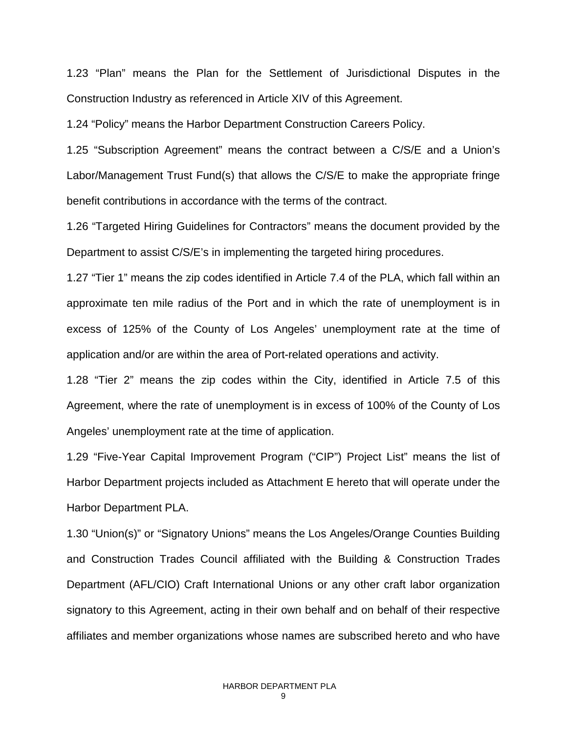1.23 "Plan" means the Plan for the Settlement of Jurisdictional Disputes in the Construction Industry as referenced in Article XIV of this Agreement.

1.24 "Policy" means the Harbor Department Construction Careers Policy.

1.25 "Subscription Agreement" means the contract between a C/S/E and a Union's Labor/Management Trust Fund(s) that allows the C/S/E to make the appropriate fringe benefit contributions in accordance with the terms of the contract.

1.26 "Targeted Hiring Guidelines for Contractors" means the document provided by the Department to assist C/S/E's in implementing the targeted hiring procedures.

1.27 "Tier 1" means the zip codes identified in Article 7.4 of the PLA, which fall within an approximate ten mile radius of the Port and in which the rate of unemployment is in excess of 125% of the County of Los Angeles' unemployment rate at the time of application and/or are within the area of Port-related operations and activity.

1.28 "Tier 2" means the zip codes within the City, identified in Article 7.5 of this Agreement, where the rate of unemployment is in excess of 100% of the County of Los Angeles' unemployment rate at the time of application.

1.29 "Five-Year Capital Improvement Program ("CIP") Project List" means the list of Harbor Department projects included as Attachment E hereto that will operate under the Harbor Department PLA.

1.30 "Union(s)" or "Signatory Unions" means the Los Angeles/Orange Counties Building and Construction Trades Council affiliated with the Building & Construction Trades Department (AFL/CIO) Craft International Unions or any other craft labor organization signatory to this Agreement, acting in their own behalf and on behalf of their respective affiliates and member organizations whose names are subscribed hereto and who have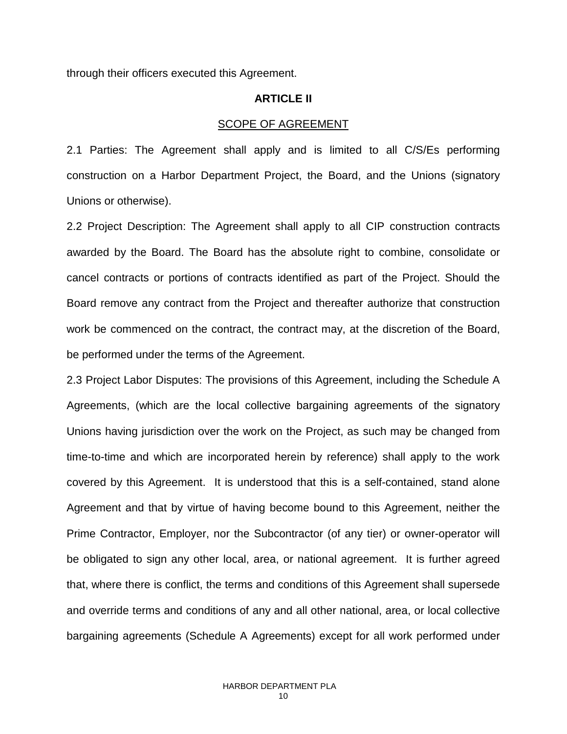through their officers executed this Agreement.

### **ARTICLE II**

### SCOPE OF AGREEMENT

2.1 Parties: The Agreement shall apply and is limited to all C/S/Es performing construction on a Harbor Department Project, the Board, and the Unions (signatory Unions or otherwise).

2.2 Project Description: The Agreement shall apply to all CIP construction contracts awarded by the Board. The Board has the absolute right to combine, consolidate or cancel contracts or portions of contracts identified as part of the Project. Should the Board remove any contract from the Project and thereafter authorize that construction work be commenced on the contract, the contract may, at the discretion of the Board, be performed under the terms of the Agreement.

2.3 Project Labor Disputes: The provisions of this Agreement, including the Schedule A Agreements, (which are the local collective bargaining agreements of the signatory Unions having jurisdiction over the work on the Project, as such may be changed from time-to-time and which are incorporated herein by reference) shall apply to the work covered by this Agreement. It is understood that this is a self-contained, stand alone Agreement and that by virtue of having become bound to this Agreement, neither the Prime Contractor, Employer, nor the Subcontractor (of any tier) or owner-operator will be obligated to sign any other local, area, or national agreement. It is further agreed that, where there is conflict, the terms and conditions of this Agreement shall supersede and override terms and conditions of any and all other national, area, or local collective bargaining agreements (Schedule A Agreements) except for all work performed under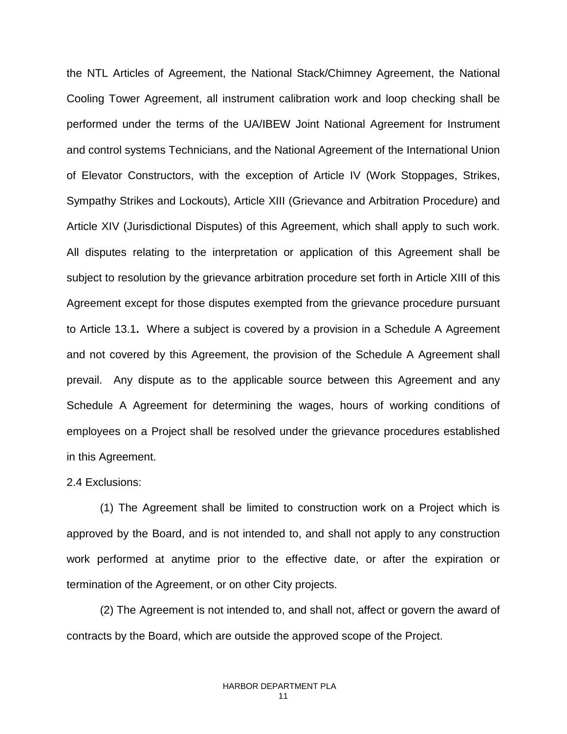the NTL Articles of Agreement, the National Stack/Chimney Agreement, the National Cooling Tower Agreement, all instrument calibration work and loop checking shall be performed under the terms of the UA/IBEW Joint National Agreement for Instrument and control systems Technicians, and the National Agreement of the International Union of Elevator Constructors, with the exception of Article IV (Work Stoppages, Strikes, Sympathy Strikes and Lockouts), Article XIII (Grievance and Arbitration Procedure) and Article XIV (Jurisdictional Disputes) of this Agreement, which shall apply to such work. All disputes relating to the interpretation or application of this Agreement shall be subject to resolution by the grievance arbitration procedure set forth in Article XIII of this Agreement except for those disputes exempted from the grievance procedure pursuant to Article 13.1**.** Where a subject is covered by a provision in a Schedule A Agreement and not covered by this Agreement, the provision of the Schedule A Agreement shall prevail. Any dispute as to the applicable source between this Agreement and any Schedule A Agreement for determining the wages, hours of working conditions of employees on a Project shall be resolved under the grievance procedures established in this Agreement.

### 2.4 Exclusions:

(1) The Agreement shall be limited to construction work on a Project which is approved by the Board, and is not intended to, and shall not apply to any construction work performed at anytime prior to the effective date, or after the expiration or termination of the Agreement, or on other City projects.

(2) The Agreement is not intended to, and shall not, affect or govern the award of contracts by the Board, which are outside the approved scope of the Project.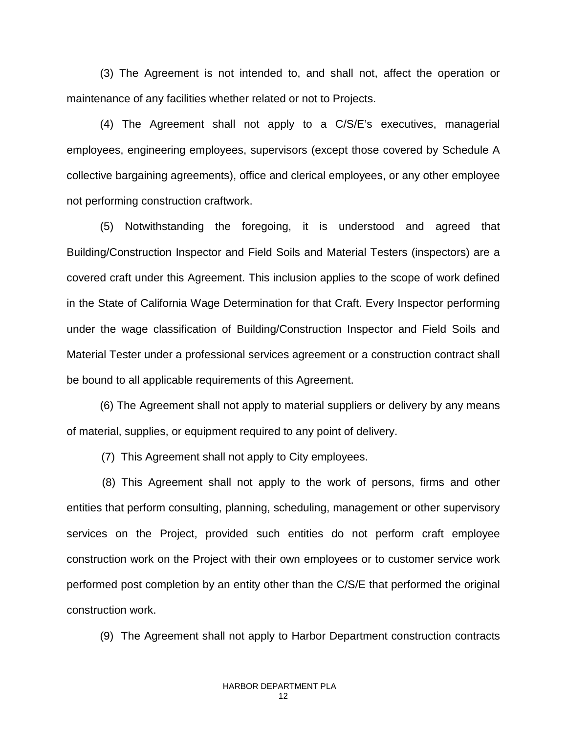(3) The Agreement is not intended to, and shall not, affect the operation or maintenance of any facilities whether related or not to Projects.

(4) The Agreement shall not apply to a C/S/E's executives, managerial employees, engineering employees, supervisors (except those covered by Schedule A collective bargaining agreements), office and clerical employees, or any other employee not performing construction craftwork.

(5) Notwithstanding the foregoing, it is understood and agreed that Building/Construction Inspector and Field Soils and Material Testers (inspectors) are a covered craft under this Agreement. This inclusion applies to the scope of work defined in the State of California Wage Determination for that Craft. Every Inspector performing under the wage classification of Building/Construction Inspector and Field Soils and Material Tester under a professional services agreement or a construction contract shall be bound to all applicable requirements of this Agreement.

(6) The Agreement shall not apply to material suppliers or delivery by any means of material, supplies, or equipment required to any point of delivery.

(7) This Agreement shall not apply to City employees.

 (8) This Agreement shall not apply to the work of persons, firms and other entities that perform consulting, planning, scheduling, management or other supervisory services on the Project, provided such entities do not perform craft employee construction work on the Project with their own employees or to customer service work performed post completion by an entity other than the C/S/E that performed the original construction work.

(9) The Agreement shall not apply to Harbor Department construction contracts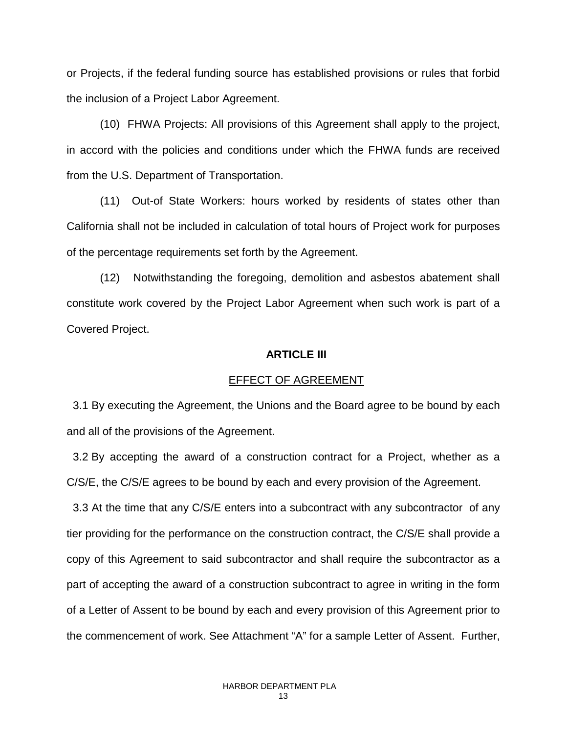or Projects, if the federal funding source has established provisions or rules that forbid the inclusion of a Project Labor Agreement.

(10) FHWA Projects: All provisions of this Agreement shall apply to the project, in accord with the policies and conditions under which the FHWA funds are received from the U.S. Department of Transportation.

(11) Out-of State Workers: hours worked by residents of states other than California shall not be included in calculation of total hours of Project work for purposes of the percentage requirements set forth by the Agreement.

(12) Notwithstanding the foregoing, demolition and asbestos abatement shall constitute work covered by the Project Labor Agreement when such work is part of a Covered Project.

### **ARTICLE III**

#### EFFECT OF AGREEMENT

 3.1 By executing the Agreement, the Unions and the Board agree to be bound by each and all of the provisions of the Agreement.

 3.2 By accepting the award of a construction contract for a Project, whether as a C/S/E, the C/S/E agrees to be bound by each and every provision of the Agreement.

 3.3 At the time that any C/S/E enters into a subcontract with any subcontractor of any tier providing for the performance on the construction contract, the C/S/E shall provide a copy of this Agreement to said subcontractor and shall require the subcontractor as a part of accepting the award of a construction subcontract to agree in writing in the form of a Letter of Assent to be bound by each and every provision of this Agreement prior to the commencement of work. See Attachment "A" for a sample Letter of Assent. Further,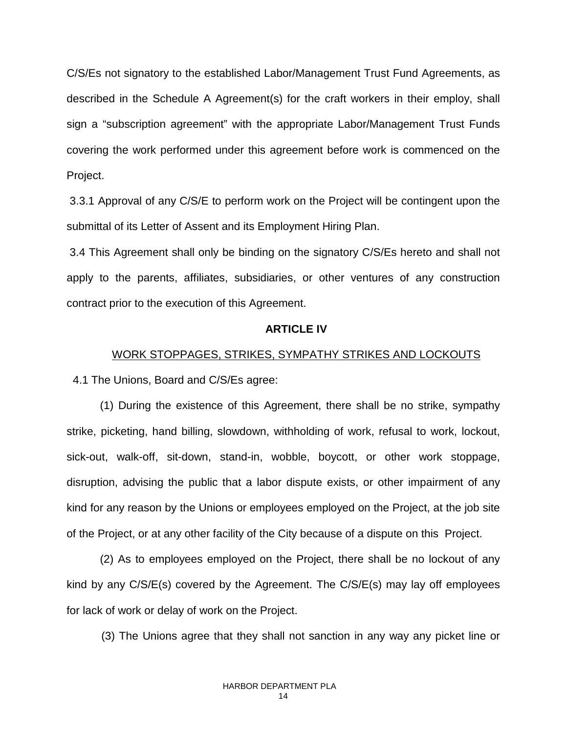C/S/Es not signatory to the established Labor/Management Trust Fund Agreements, as described in the Schedule A Agreement(s) for the craft workers in their employ, shall sign a "subscription agreement" with the appropriate Labor/Management Trust Funds covering the work performed under this agreement before work is commenced on the Project.

3.3.1 Approval of any C/S/E to perform work on the Project will be contingent upon the submittal of its Letter of Assent and its Employment Hiring Plan.

3.4 This Agreement shall only be binding on the signatory C/S/Es hereto and shall not apply to the parents, affiliates, subsidiaries, or other ventures of any construction contract prior to the execution of this Agreement.

### **ARTICLE IV**

### WORK STOPPAGES, STRIKES, SYMPATHY STRIKES AND LOCKOUTS

4.1 The Unions, Board and C/S/Es agree:

(1) During the existence of this Agreement, there shall be no strike, sympathy strike, picketing, hand billing, slowdown, withholding of work, refusal to work, lockout, sick-out, walk-off, sit-down, stand-in, wobble, boycott, or other work stoppage, disruption, advising the public that a labor dispute exists, or other impairment of any kind for any reason by the Unions or employees employed on the Project, at the job site of the Project, or at any other facility of the City because of a dispute on this Project.

(2) As to employees employed on the Project, there shall be no lockout of any kind by any C/S/E(s) covered by the Agreement. The C/S/E(s) may lay off employees for lack of work or delay of work on the Project.

(3) The Unions agree that they shall not sanction in any way any picket line or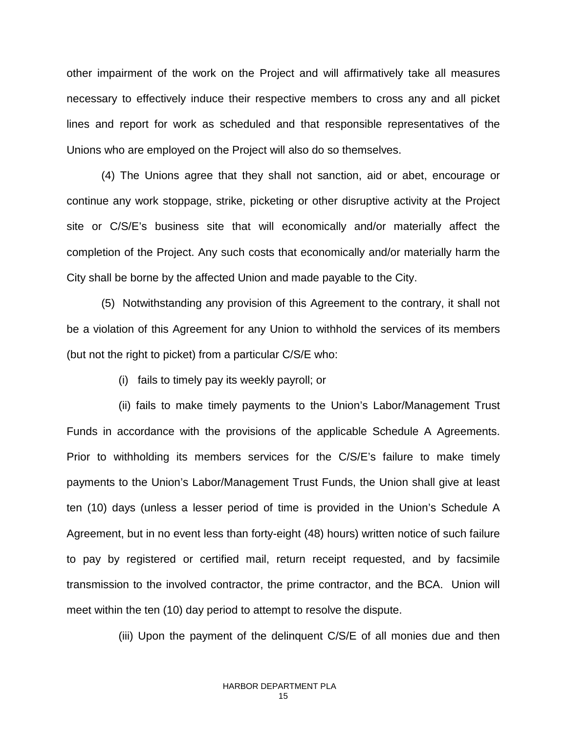other impairment of the work on the Project and will affirmatively take all measures necessary to effectively induce their respective members to cross any and all picket lines and report for work as scheduled and that responsible representatives of the Unions who are employed on the Project will also do so themselves.

(4) The Unions agree that they shall not sanction, aid or abet, encourage or continue any work stoppage, strike, picketing or other disruptive activity at the Project site or C/S/E's business site that will economically and/or materially affect the completion of the Project. Any such costs that economically and/or materially harm the City shall be borne by the affected Union and made payable to the City.

(5) Notwithstanding any provision of this Agreement to the contrary, it shall not be a violation of this Agreement for any Union to withhold the services of its members (but not the right to picket) from a particular C/S/E who:

(i) fails to timely pay its weekly payroll; or

(ii) fails to make timely payments to the Union's Labor/Management Trust Funds in accordance with the provisions of the applicable Schedule A Agreements. Prior to withholding its members services for the C/S/E's failure to make timely payments to the Union's Labor/Management Trust Funds, the Union shall give at least ten (10) days (unless a lesser period of time is provided in the Union's Schedule A Agreement, but in no event less than forty-eight (48) hours) written notice of such failure to pay by registered or certified mail, return receipt requested, and by facsimile transmission to the involved contractor, the prime contractor, and the BCA. Union will meet within the ten (10) day period to attempt to resolve the dispute.

(iii) Upon the payment of the delinquent C/S/E of all monies due and then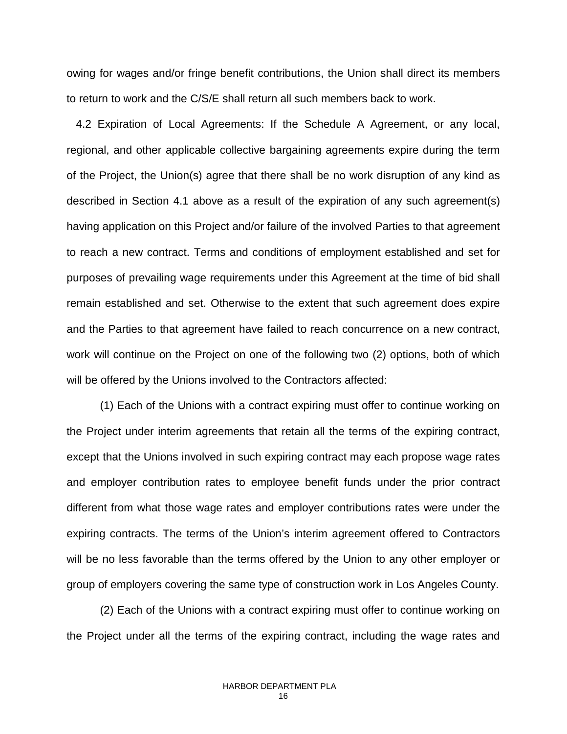owing for wages and/or fringe benefit contributions, the Union shall direct its members to return to work and the C/S/E shall return all such members back to work.

 4.2 Expiration of Local Agreements: If the Schedule A Agreement, or any local, regional, and other applicable collective bargaining agreements expire during the term of the Project, the Union(s) agree that there shall be no work disruption of any kind as described in Section 4.1 above as a result of the expiration of any such agreement(s) having application on this Project and/or failure of the involved Parties to that agreement to reach a new contract. Terms and conditions of employment established and set for purposes of prevailing wage requirements under this Agreement at the time of bid shall remain established and set. Otherwise to the extent that such agreement does expire and the Parties to that agreement have failed to reach concurrence on a new contract, work will continue on the Project on one of the following two (2) options, both of which will be offered by the Unions involved to the Contractors affected:

(1) Each of the Unions with a contract expiring must offer to continue working on the Project under interim agreements that retain all the terms of the expiring contract, except that the Unions involved in such expiring contract may each propose wage rates and employer contribution rates to employee benefit funds under the prior contract different from what those wage rates and employer contributions rates were under the expiring contracts. The terms of the Union's interim agreement offered to Contractors will be no less favorable than the terms offered by the Union to any other employer or group of employers covering the same type of construction work in Los Angeles County.

(2) Each of the Unions with a contract expiring must offer to continue working on the Project under all the terms of the expiring contract, including the wage rates and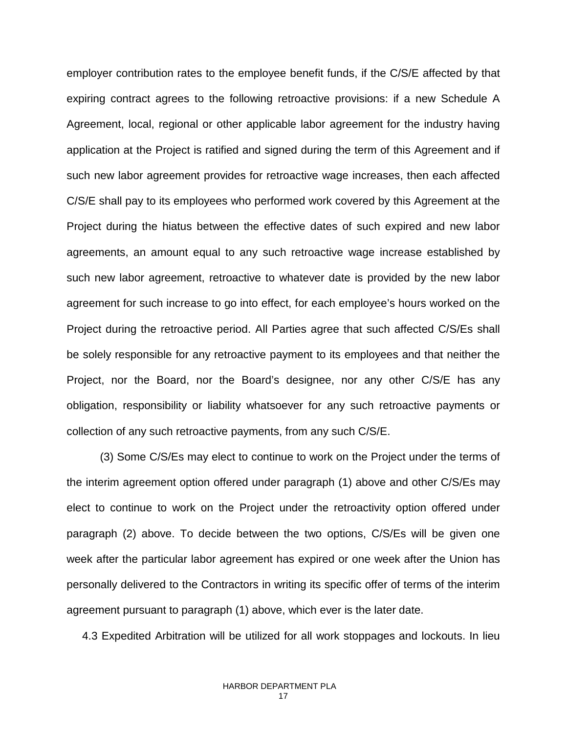employer contribution rates to the employee benefit funds, if the C/S/E affected by that expiring contract agrees to the following retroactive provisions: if a new Schedule A Agreement, local, regional or other applicable labor agreement for the industry having application at the Project is ratified and signed during the term of this Agreement and if such new labor agreement provides for retroactive wage increases, then each affected C/S/E shall pay to its employees who performed work covered by this Agreement at the Project during the hiatus between the effective dates of such expired and new labor agreements, an amount equal to any such retroactive wage increase established by such new labor agreement, retroactive to whatever date is provided by the new labor agreement for such increase to go into effect, for each employee's hours worked on the Project during the retroactive period. All Parties agree that such affected C/S/Es shall be solely responsible for any retroactive payment to its employees and that neither the Project, nor the Board, nor the Board's designee, nor any other C/S/E has any obligation, responsibility or liability whatsoever for any such retroactive payments or collection of any such retroactive payments, from any such C/S/E.

(3) Some C/S/Es may elect to continue to work on the Project under the terms of the interim agreement option offered under paragraph (1) above and other C/S/Es may elect to continue to work on the Project under the retroactivity option offered under paragraph (2) above. To decide between the two options, C/S/Es will be given one week after the particular labor agreement has expired or one week after the Union has personally delivered to the Contractors in writing its specific offer of terms of the interim agreement pursuant to paragraph (1) above, which ever is the later date.

4.3 Expedited Arbitration will be utilized for all work stoppages and lockouts. In lieu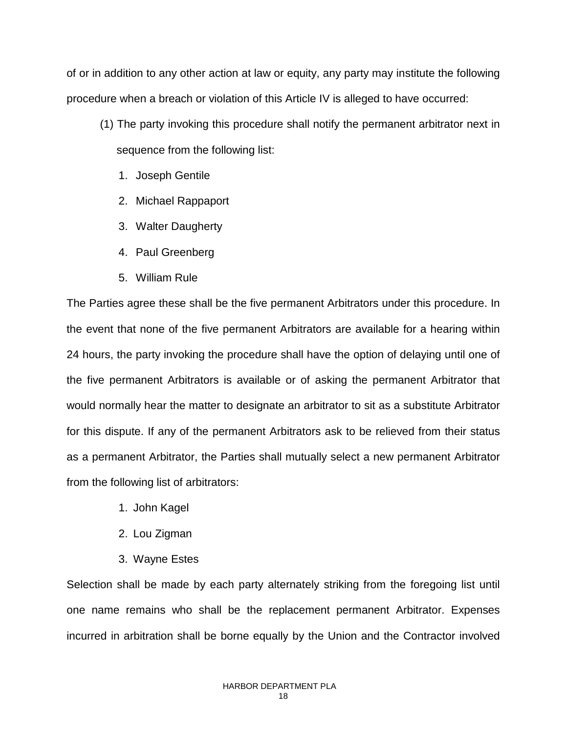of or in addition to any other action at law or equity, any party may institute the following procedure when a breach or violation of this Article IV is alleged to have occurred:

- (1) The party invoking this procedure shall notify the permanent arbitrator next in sequence from the following list:
	- 1. Joseph Gentile
	- 2. Michael Rappaport
	- 3. Walter Daugherty
	- 4. Paul Greenberg
	- 5. William Rule

The Parties agree these shall be the five permanent Arbitrators under this procedure. In the event that none of the five permanent Arbitrators are available for a hearing within 24 hours, the party invoking the procedure shall have the option of delaying until one of the five permanent Arbitrators is available or of asking the permanent Arbitrator that would normally hear the matter to designate an arbitrator to sit as a substitute Arbitrator for this dispute. If any of the permanent Arbitrators ask to be relieved from their status as a permanent Arbitrator, the Parties shall mutually select a new permanent Arbitrator from the following list of arbitrators:

- 1. John Kagel
- 2. Lou Zigman
- 3. Wayne Estes

Selection shall be made by each party alternately striking from the foregoing list until one name remains who shall be the replacement permanent Arbitrator. Expenses incurred in arbitration shall be borne equally by the Union and the Contractor involved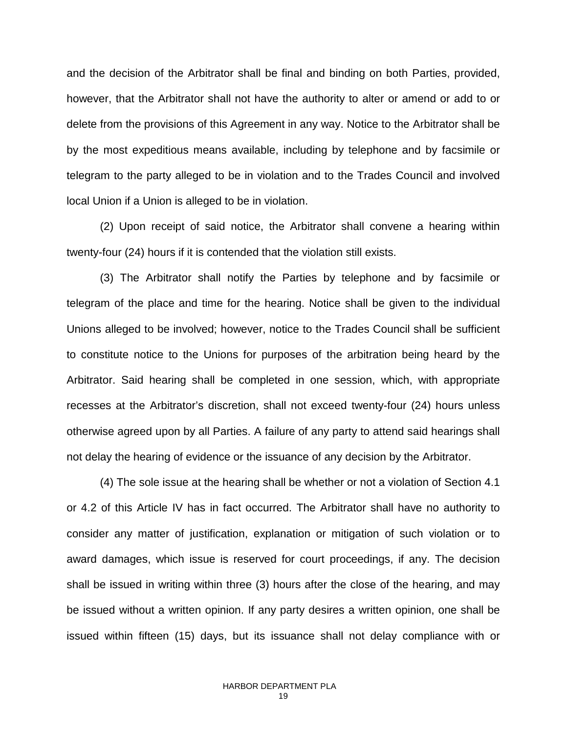and the decision of the Arbitrator shall be final and binding on both Parties, provided, however, that the Arbitrator shall not have the authority to alter or amend or add to or delete from the provisions of this Agreement in any way. Notice to the Arbitrator shall be by the most expeditious means available, including by telephone and by facsimile or telegram to the party alleged to be in violation and to the Trades Council and involved local Union if a Union is alleged to be in violation.

(2) Upon receipt of said notice, the Arbitrator shall convene a hearing within twenty-four (24) hours if it is contended that the violation still exists.

(3) The Arbitrator shall notify the Parties by telephone and by facsimile or telegram of the place and time for the hearing. Notice shall be given to the individual Unions alleged to be involved; however, notice to the Trades Council shall be sufficient to constitute notice to the Unions for purposes of the arbitration being heard by the Arbitrator. Said hearing shall be completed in one session, which, with appropriate recesses at the Arbitrator's discretion, shall not exceed twenty-four (24) hours unless otherwise agreed upon by all Parties. A failure of any party to attend said hearings shall not delay the hearing of evidence or the issuance of any decision by the Arbitrator.

(4) The sole issue at the hearing shall be whether or not a violation of Section 4.1 or 4.2 of this Article IV has in fact occurred. The Arbitrator shall have no authority to consider any matter of justification, explanation or mitigation of such violation or to award damages, which issue is reserved for court proceedings, if any. The decision shall be issued in writing within three (3) hours after the close of the hearing, and may be issued without a written opinion. If any party desires a written opinion, one shall be issued within fifteen (15) days, but its issuance shall not delay compliance with or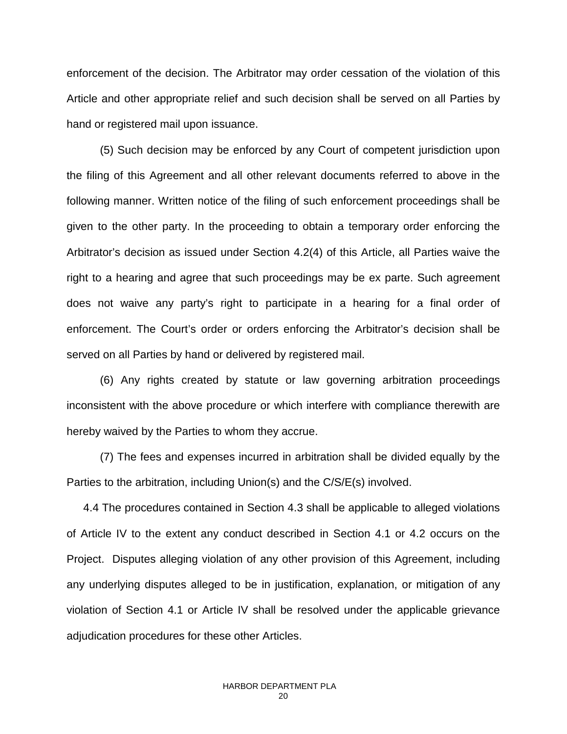enforcement of the decision. The Arbitrator may order cessation of the violation of this Article and other appropriate relief and such decision shall be served on all Parties by hand or registered mail upon issuance.

(5) Such decision may be enforced by any Court of competent jurisdiction upon the filing of this Agreement and all other relevant documents referred to above in the following manner. Written notice of the filing of such enforcement proceedings shall be given to the other party. In the proceeding to obtain a temporary order enforcing the Arbitrator's decision as issued under Section 4.2(4) of this Article, all Parties waive the right to a hearing and agree that such proceedings may be ex parte. Such agreement does not waive any party's right to participate in a hearing for a final order of enforcement. The Court's order or orders enforcing the Arbitrator's decision shall be served on all Parties by hand or delivered by registered mail.

(6) Any rights created by statute or law governing arbitration proceedings inconsistent with the above procedure or which interfere with compliance therewith are hereby waived by the Parties to whom they accrue.

(7) The fees and expenses incurred in arbitration shall be divided equally by the Parties to the arbitration, including Union(s) and the C/S/E(s) involved.

4.4 The procedures contained in Section 4.3 shall be applicable to alleged violations of Article IV to the extent any conduct described in Section 4.1 or 4.2 occurs on the Project. Disputes alleging violation of any other provision of this Agreement, including any underlying disputes alleged to be in justification, explanation, or mitigation of any violation of Section 4.1 or Article IV shall be resolved under the applicable grievance adjudication procedures for these other Articles.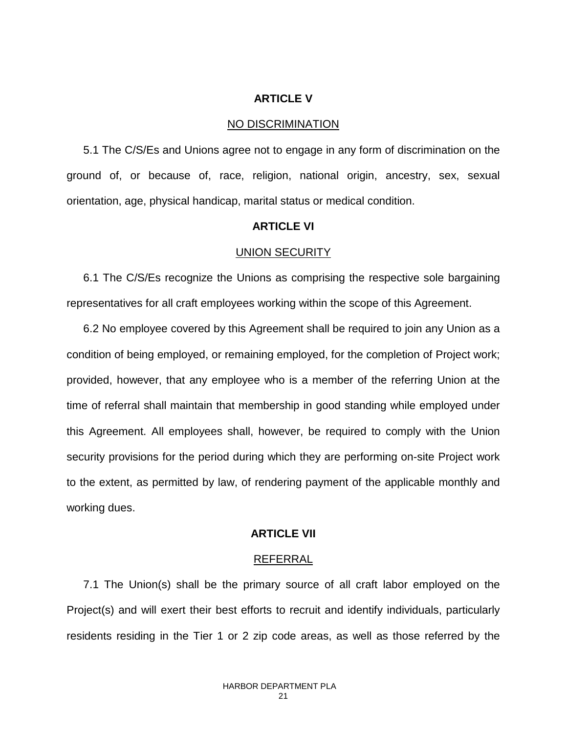### **ARTICLE V**

### NO DISCRIMINATION

5.1 The C/S/Es and Unions agree not to engage in any form of discrimination on the ground of, or because of, race, religion, national origin, ancestry, sex, sexual orientation, age, physical handicap, marital status or medical condition.

### **ARTICLE VI**

### UNION SECURITY

6.1 The C/S/Es recognize the Unions as comprising the respective sole bargaining representatives for all craft employees working within the scope of this Agreement.

6.2 No employee covered by this Agreement shall be required to join any Union as a condition of being employed, or remaining employed, for the completion of Project work; provided, however, that any employee who is a member of the referring Union at the time of referral shall maintain that membership in good standing while employed under this Agreement. All employees shall, however, be required to comply with the Union security provisions for the period during which they are performing on-site Project work to the extent, as permitted by law, of rendering payment of the applicable monthly and working dues.

### **ARTICLE VII**

### REFERRAL

7.1 The Union(s) shall be the primary source of all craft labor employed on the Project(s) and will exert their best efforts to recruit and identify individuals, particularly residents residing in the Tier 1 or 2 zip code areas, as well as those referred by the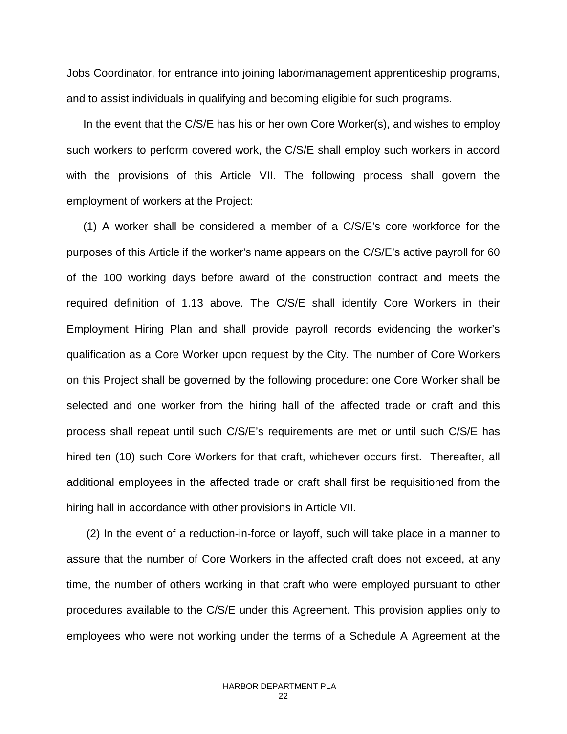Jobs Coordinator, for entrance into joining labor/management apprenticeship programs, and to assist individuals in qualifying and becoming eligible for such programs.

In the event that the C/S/E has his or her own Core Worker(s), and wishes to employ such workers to perform covered work, the C/S/E shall employ such workers in accord with the provisions of this Article VII. The following process shall govern the employment of workers at the Project:

(1) A worker shall be considered a member of a C/S/E's core workforce for the purposes of this Article if the worker's name appears on the C/S/E's active payroll for 60 of the 100 working days before award of the construction contract and meets the required definition of 1.13 above. The C/S/E shall identify Core Workers in their Employment Hiring Plan and shall provide payroll records evidencing the worker's qualification as a Core Worker upon request by the City. The number of Core Workers on this Project shall be governed by the following procedure: one Core Worker shall be selected and one worker from the hiring hall of the affected trade or craft and this process shall repeat until such C/S/E's requirements are met or until such C/S/E has hired ten (10) such Core Workers for that craft, whichever occurs first. Thereafter, all additional employees in the affected trade or craft shall first be requisitioned from the hiring hall in accordance with other provisions in Article VII.

(2) In the event of a reduction-in-force or layoff, such will take place in a manner to assure that the number of Core Workers in the affected craft does not exceed, at any time, the number of others working in that craft who were employed pursuant to other procedures available to the C/S/E under this Agreement. This provision applies only to employees who were not working under the terms of a Schedule A Agreement at the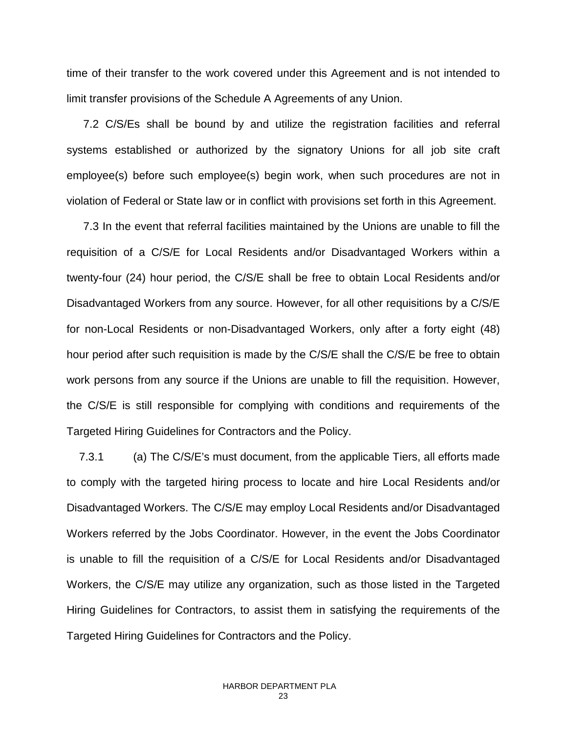time of their transfer to the work covered under this Agreement and is not intended to limit transfer provisions of the Schedule A Agreements of any Union.

7.2 C/S/Es shall be bound by and utilize the registration facilities and referral systems established or authorized by the signatory Unions for all job site craft employee(s) before such employee(s) begin work, when such procedures are not in violation of Federal or State law or in conflict with provisions set forth in this Agreement.

7.3 In the event that referral facilities maintained by the Unions are unable to fill the requisition of a C/S/E for Local Residents and/or Disadvantaged Workers within a twenty-four (24) hour period, the C/S/E shall be free to obtain Local Residents and/or Disadvantaged Workers from any source. However, for all other requisitions by a C/S/E for non-Local Residents or non-Disadvantaged Workers, only after a forty eight (48) hour period after such requisition is made by the C/S/E shall the C/S/E be free to obtain work persons from any source if the Unions are unable to fill the requisition. However, the C/S/E is still responsible for complying with conditions and requirements of the Targeted Hiring Guidelines for Contractors and the Policy.

 7.3.1 (a) The C/S/E's must document, from the applicable Tiers, all efforts made to comply with the targeted hiring process to locate and hire Local Residents and/or Disadvantaged Workers. The C/S/E may employ Local Residents and/or Disadvantaged Workers referred by the Jobs Coordinator. However, in the event the Jobs Coordinator is unable to fill the requisition of a C/S/E for Local Residents and/or Disadvantaged Workers, the C/S/E may utilize any organization, such as those listed in the Targeted Hiring Guidelines for Contractors, to assist them in satisfying the requirements of the Targeted Hiring Guidelines for Contractors and the Policy.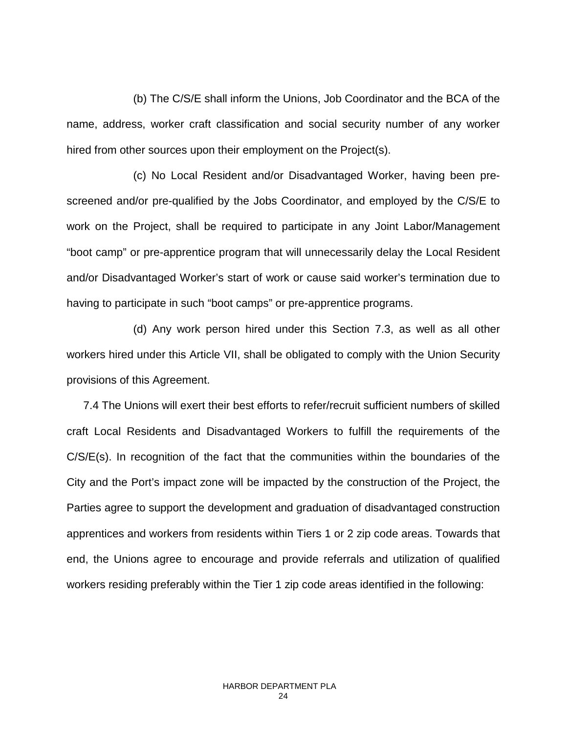(b) The C/S/E shall inform the Unions, Job Coordinator and the BCA of the name, address, worker craft classification and social security number of any worker hired from other sources upon their employment on the Project(s).

(c) No Local Resident and/or Disadvantaged Worker, having been prescreened and/or pre-qualified by the Jobs Coordinator, and employed by the C/S/E to work on the Project, shall be required to participate in any Joint Labor/Management "boot camp" or pre-apprentice program that will unnecessarily delay the Local Resident and/or Disadvantaged Worker's start of work or cause said worker's termination due to having to participate in such "boot camps" or pre-apprentice programs.

(d) Any work person hired under this Section 7.3, as well as all other workers hired under this Article VII, shall be obligated to comply with the Union Security provisions of this Agreement.

7.4 The Unions will exert their best efforts to refer/recruit sufficient numbers of skilled craft Local Residents and Disadvantaged Workers to fulfill the requirements of the C/S/E(s). In recognition of the fact that the communities within the boundaries of the City and the Port's impact zone will be impacted by the construction of the Project, the Parties agree to support the development and graduation of disadvantaged construction apprentices and workers from residents within Tiers 1 or 2 zip code areas. Towards that end, the Unions agree to encourage and provide referrals and utilization of qualified workers residing preferably within the Tier 1 zip code areas identified in the following: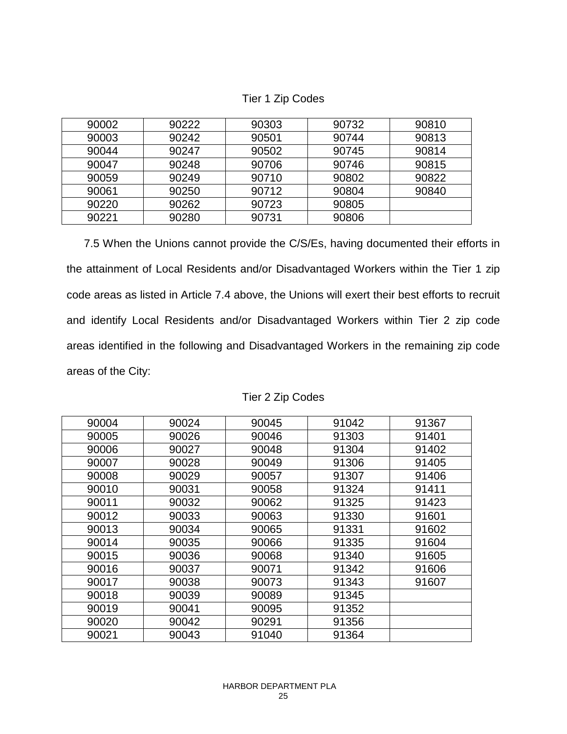| 90002 | 90222 | 90303 | 90732 | 90810 |
|-------|-------|-------|-------|-------|
| 90003 | 90242 | 90501 | 90744 | 90813 |
| 90044 | 90247 | 90502 | 90745 | 90814 |
| 90047 | 90248 | 90706 | 90746 | 90815 |
| 90059 | 90249 | 90710 | 90802 | 90822 |
| 90061 | 90250 | 90712 | 90804 | 90840 |
| 90220 | 90262 | 90723 | 90805 |       |
| 90221 | 90280 | 90731 | 90806 |       |

Tier 1 Zip Codes

7.5 When the Unions cannot provide the C/S/Es, having documented their efforts in the attainment of Local Residents and/or Disadvantaged Workers within the Tier 1 zip code areas as listed in Article 7.4 above, the Unions will exert their best efforts to recruit and identify Local Residents and/or Disadvantaged Workers within Tier 2 zip code areas identified in the following and Disadvantaged Workers in the remaining zip code areas of the City:

| 90004 | 90024 | 90045 | 91042 | 91367 |
|-------|-------|-------|-------|-------|
| 90005 | 90026 | 90046 | 91303 | 91401 |
| 90006 | 90027 | 90048 | 91304 | 91402 |
| 90007 | 90028 | 90049 | 91306 | 91405 |
| 90008 | 90029 | 90057 | 91307 | 91406 |
| 90010 | 90031 | 90058 | 91324 | 91411 |
| 90011 | 90032 | 90062 | 91325 | 91423 |
| 90012 | 90033 | 90063 | 91330 | 91601 |
| 90013 | 90034 | 90065 | 91331 | 91602 |
| 90014 | 90035 | 90066 | 91335 | 91604 |
| 90015 | 90036 | 90068 | 91340 | 91605 |
| 90016 | 90037 | 90071 | 91342 | 91606 |
| 90017 | 90038 | 90073 | 91343 | 91607 |
| 90018 | 90039 | 90089 | 91345 |       |
| 90019 | 90041 | 90095 | 91352 |       |
| 90020 | 90042 | 90291 | 91356 |       |
| 90021 | 90043 | 91040 | 91364 |       |

|  |  |  | Tier 2 Zip Codes |
|--|--|--|------------------|
|--|--|--|------------------|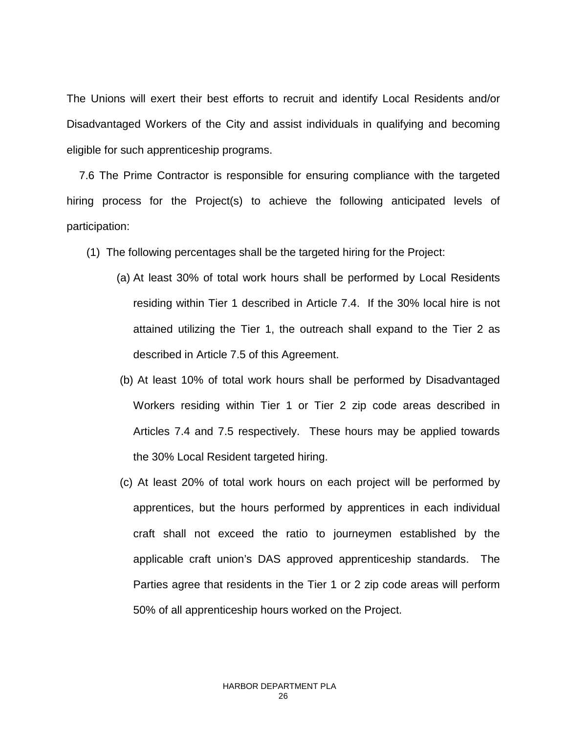The Unions will exert their best efforts to recruit and identify Local Residents and/or Disadvantaged Workers of the City and assist individuals in qualifying and becoming eligible for such apprenticeship programs.

 7.6 The Prime Contractor is responsible for ensuring compliance with the targeted hiring process for the Project(s) to achieve the following anticipated levels of participation:

- (1) The following percentages shall be the targeted hiring for the Project:
	- (a) At least 30% of total work hours shall be performed by Local Residents residing within Tier 1 described in Article 7.4. If the 30% local hire is not attained utilizing the Tier 1, the outreach shall expand to the Tier 2 as described in Article 7.5 of this Agreement.
	- (b) At least 10% of total work hours shall be performed by Disadvantaged Workers residing within Tier 1 or Tier 2 zip code areas described in Articles 7.4 and 7.5 respectively. These hours may be applied towards the 30% Local Resident targeted hiring.
	- (c) At least 20% of total work hours on each project will be performed by apprentices, but the hours performed by apprentices in each individual craft shall not exceed the ratio to journeymen established by the applicable craft union's DAS approved apprenticeship standards. The Parties agree that residents in the Tier 1 or 2 zip code areas will perform 50% of all apprenticeship hours worked on the Project.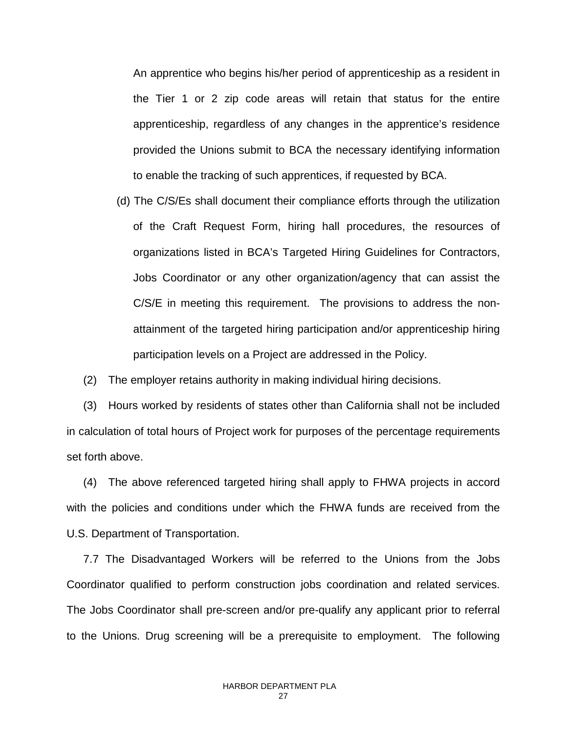An apprentice who begins his/her period of apprenticeship as a resident in the Tier 1 or 2 zip code areas will retain that status for the entire apprenticeship, regardless of any changes in the apprentice's residence provided the Unions submit to BCA the necessary identifying information to enable the tracking of such apprentices, if requested by BCA.

(d) The C/S/Es shall document their compliance efforts through the utilization of the Craft Request Form, hiring hall procedures, the resources of organizations listed in BCA's Targeted Hiring Guidelines for Contractors, Jobs Coordinator or any other organization/agency that can assist the C/S/E in meeting this requirement. The provisions to address the nonattainment of the targeted hiring participation and/or apprenticeship hiring participation levels on a Project are addressed in the Policy.

(2) The employer retains authority in making individual hiring decisions.

(3) Hours worked by residents of states other than California shall not be included in calculation of total hours of Project work for purposes of the percentage requirements set forth above.

(4) The above referenced targeted hiring shall apply to FHWA projects in accord with the policies and conditions under which the FHWA funds are received from the U.S. Department of Transportation.

7.7 The Disadvantaged Workers will be referred to the Unions from the Jobs Coordinator qualified to perform construction jobs coordination and related services. The Jobs Coordinator shall pre-screen and/or pre-qualify any applicant prior to referral to the Unions. Drug screening will be a prerequisite to employment. The following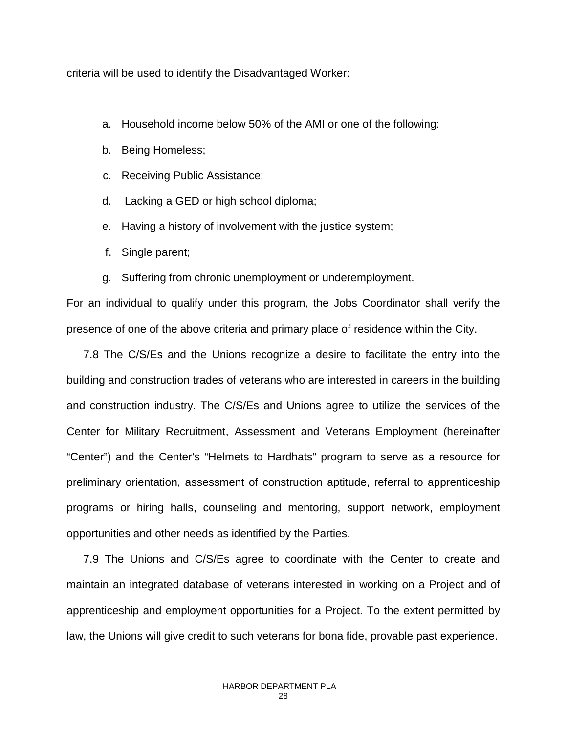criteria will be used to identify the Disadvantaged Worker:

- a. Household income below 50% of the AMI or one of the following:
- b. Being Homeless;
- c. Receiving Public Assistance;
- d. Lacking a GED or high school diploma;
- e. Having a history of involvement with the justice system;
- f. Single parent;
- g. Suffering from chronic unemployment or underemployment.

For an individual to qualify under this program, the Jobs Coordinator shall verify the presence of one of the above criteria and primary place of residence within the City.

7.8 The C/S/Es and the Unions recognize a desire to facilitate the entry into the building and construction trades of veterans who are interested in careers in the building and construction industry. The C/S/Es and Unions agree to utilize the services of the Center for Military Recruitment, Assessment and Veterans Employment (hereinafter "Center") and the Center's "Helmets to Hardhats" program to serve as a resource for preliminary orientation, assessment of construction aptitude, referral to apprenticeship programs or hiring halls, counseling and mentoring, support network, employment opportunities and other needs as identified by the Parties.

7.9 The Unions and C/S/Es agree to coordinate with the Center to create and maintain an integrated database of veterans interested in working on a Project and of apprenticeship and employment opportunities for a Project. To the extent permitted by law, the Unions will give credit to such veterans for bona fide, provable past experience.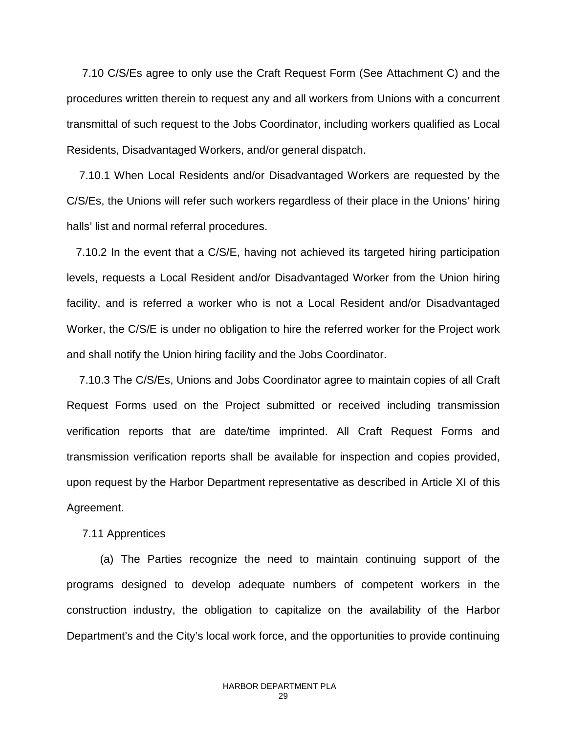7.10 C/S/Es agree to only use the Craft Request Form (See Attachment C) and the procedures written therein to request any and all workers from Unions with a concurrent transmittal of such request to the Jobs Coordinator, including workers qualified as Local Residents, Disadvantaged Workers, and/or general dispatch.

 7.10.1 When Local Residents and/or Disadvantaged Workers are requested by the C/S/Es, the Unions will refer such workers regardless of their place in the Unions' hiring halls' list and normal referral procedures.

 7.10.2 In the event that a C/S/E, having not achieved its targeted hiring participation levels, requests a Local Resident and/or Disadvantaged Worker from the Union hiring facility, and is referred a worker who is not a Local Resident and/or Disadvantaged Worker, the C/S/E is under no obligation to hire the referred worker for the Project work and shall notify the Union hiring facility and the Jobs Coordinator.

 7.10.3 The C/S/Es, Unions and Jobs Coordinator agree to maintain copies of all Craft Request Forms used on the Project submitted or received including transmission verification reports that are date/time imprinted. All Craft Request Forms and transmission verification reports shall be available for inspection and copies provided, upon request by the Harbor Department representative as described in Article XI of this Agreement.

### 7.11 Apprentices

(a) The Parties recognize the need to maintain continuing support of the programs designed to develop adequate numbers of competent workers in the construction industry, the obligation to capitalize on the availability of the Harbor Department's and the City's local work force, and the opportunities to provide continuing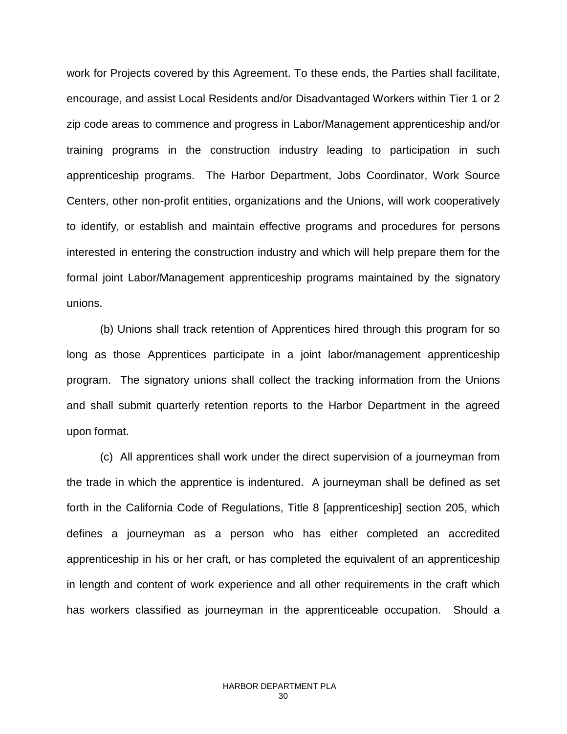work for Projects covered by this Agreement. To these ends, the Parties shall facilitate, encourage, and assist Local Residents and/or Disadvantaged Workers within Tier 1 or 2 zip code areas to commence and progress in Labor/Management apprenticeship and/or training programs in the construction industry leading to participation in such apprenticeship programs. The Harbor Department, Jobs Coordinator, Work Source Centers, other non-profit entities, organizations and the Unions, will work cooperatively to identify, or establish and maintain effective programs and procedures for persons interested in entering the construction industry and which will help prepare them for the formal joint Labor/Management apprenticeship programs maintained by the signatory unions.

(b) Unions shall track retention of Apprentices hired through this program for so long as those Apprentices participate in a joint labor/management apprenticeship program. The signatory unions shall collect the tracking information from the Unions and shall submit quarterly retention reports to the Harbor Department in the agreed upon format.

(c) All apprentices shall work under the direct supervision of a journeyman from the trade in which the apprentice is indentured. A journeyman shall be defined as set forth in the California Code of Regulations, Title 8 [apprenticeship] section 205, which defines a journeyman as a person who has either completed an accredited apprenticeship in his or her craft, or has completed the equivalent of an apprenticeship in length and content of work experience and all other requirements in the craft which has workers classified as journeyman in the apprenticeable occupation. Should a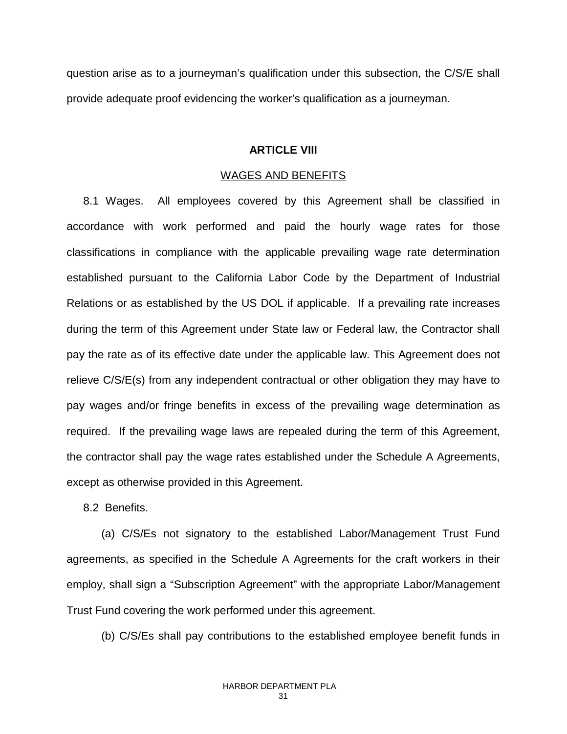question arise as to a journeyman's qualification under this subsection, the C/S/E shall provide adequate proof evidencing the worker's qualification as a journeyman.

### **ARTICLE VIII**

### WAGES AND BENEFITS

8.1 Wages. All employees covered by this Agreement shall be classified in accordance with work performed and paid the hourly wage rates for those classifications in compliance with the applicable prevailing wage rate determination established pursuant to the California Labor Code by the Department of Industrial Relations or as established by the US DOL if applicable. If a prevailing rate increases during the term of this Agreement under State law or Federal law, the Contractor shall pay the rate as of its effective date under the applicable law. This Agreement does not relieve C/S/E(s) from any independent contractual or other obligation they may have to pay wages and/or fringe benefits in excess of the prevailing wage determination as required. If the prevailing wage laws are repealed during the term of this Agreement, the contractor shall pay the wage rates established under the Schedule A Agreements, except as otherwise provided in this Agreement.

8.2 Benefits.

(a) C/S/Es not signatory to the established Labor/Management Trust Fund agreements, as specified in the Schedule A Agreements for the craft workers in their employ, shall sign a "Subscription Agreement" with the appropriate Labor/Management Trust Fund covering the work performed under this agreement.

(b) C/S/Es shall pay contributions to the established employee benefit funds in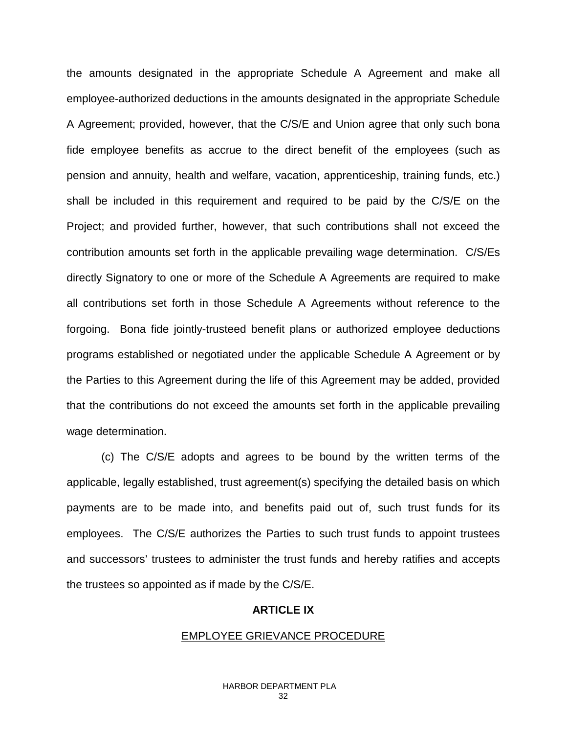the amounts designated in the appropriate Schedule A Agreement and make all employee-authorized deductions in the amounts designated in the appropriate Schedule A Agreement; provided, however, that the C/S/E and Union agree that only such bona fide employee benefits as accrue to the direct benefit of the employees (such as pension and annuity, health and welfare, vacation, apprenticeship, training funds, etc.) shall be included in this requirement and required to be paid by the C/S/E on the Project; and provided further, however, that such contributions shall not exceed the contribution amounts set forth in the applicable prevailing wage determination. C/S/Es directly Signatory to one or more of the Schedule A Agreements are required to make all contributions set forth in those Schedule A Agreements without reference to the forgoing. Bona fide jointly-trusteed benefit plans or authorized employee deductions programs established or negotiated under the applicable Schedule A Agreement or by the Parties to this Agreement during the life of this Agreement may be added, provided that the contributions do not exceed the amounts set forth in the applicable prevailing wage determination.

(c) The C/S/E adopts and agrees to be bound by the written terms of the applicable, legally established, trust agreement(s) specifying the detailed basis on which payments are to be made into, and benefits paid out of, such trust funds for its employees. The C/S/E authorizes the Parties to such trust funds to appoint trustees and successors' trustees to administer the trust funds and hereby ratifies and accepts the trustees so appointed as if made by the C/S/E.

### **ARTICLE IX**

### EMPLOYEE GRIEVANCE PROCEDURE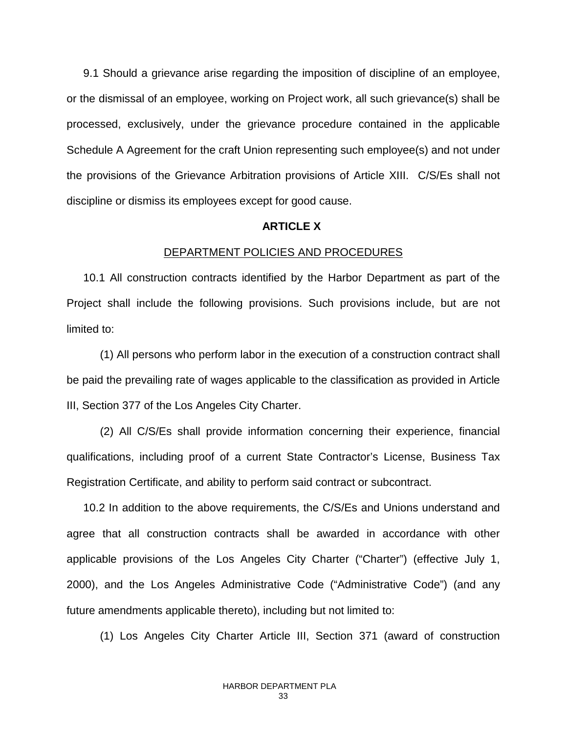9.1 Should a grievance arise regarding the imposition of discipline of an employee, or the dismissal of an employee, working on Project work, all such grievance(s) shall be processed, exclusively, under the grievance procedure contained in the applicable Schedule A Agreement for the craft Union representing such employee(s) and not under the provisions of the Grievance Arbitration provisions of Article XIII. C/S/Es shall not discipline or dismiss its employees except for good cause.

### **ARTICLE X**

### DEPARTMENT POLICIES AND PROCEDURES

10.1 All construction contracts identified by the Harbor Department as part of the Project shall include the following provisions. Such provisions include, but are not limited to:

(1) All persons who perform labor in the execution of a construction contract shall be paid the prevailing rate of wages applicable to the classification as provided in Article III, Section 377 of the Los Angeles City Charter.

(2) All C/S/Es shall provide information concerning their experience, financial qualifications, including proof of a current State Contractor's License, Business Tax Registration Certificate, and ability to perform said contract or subcontract.

10.2 In addition to the above requirements, the C/S/Es and Unions understand and agree that all construction contracts shall be awarded in accordance with other applicable provisions of the Los Angeles City Charter ("Charter") (effective July 1, 2000), and the Los Angeles Administrative Code ("Administrative Code") (and any future amendments applicable thereto), including but not limited to:

(1) Los Angeles City Charter Article III, Section 371 (award of construction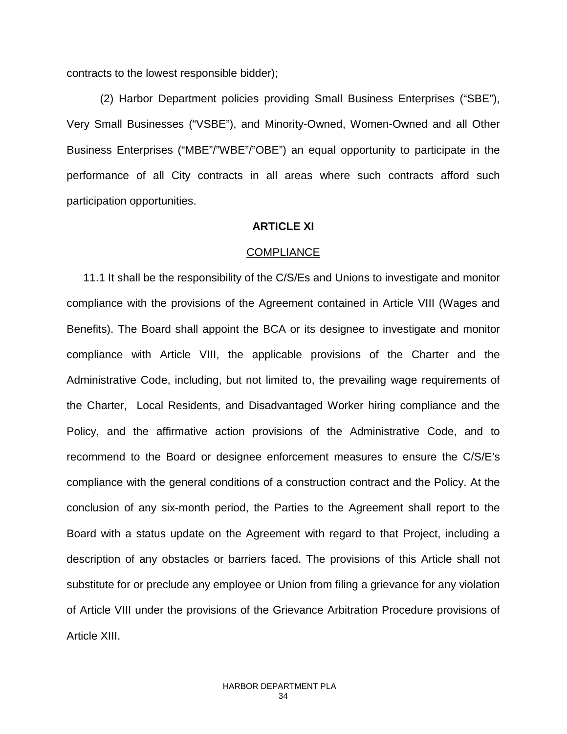contracts to the lowest responsible bidder);

(2) Harbor Department policies providing Small Business Enterprises ("SBE"), Very Small Businesses ("VSBE"), and Minority-Owned, Women-Owned and all Other Business Enterprises ("MBE"/"WBE"/"OBE") an equal opportunity to participate in the performance of all City contracts in all areas where such contracts afford such participation opportunities.

### **ARTICLE XI**

### **COMPLIANCE**

11.1 It shall be the responsibility of the C/S/Es and Unions to investigate and monitor compliance with the provisions of the Agreement contained in Article VIII (Wages and Benefits). The Board shall appoint the BCA or its designee to investigate and monitor compliance with Article VIII, the applicable provisions of the Charter and the Administrative Code, including, but not limited to, the prevailing wage requirements of the Charter, Local Residents, and Disadvantaged Worker hiring compliance and the Policy, and the affirmative action provisions of the Administrative Code, and to recommend to the Board or designee enforcement measures to ensure the C/S/E's compliance with the general conditions of a construction contract and the Policy. At the conclusion of any six-month period, the Parties to the Agreement shall report to the Board with a status update on the Agreement with regard to that Project, including a description of any obstacles or barriers faced. The provisions of this Article shall not substitute for or preclude any employee or Union from filing a grievance for any violation of Article VIII under the provisions of the Grievance Arbitration Procedure provisions of Article XIII.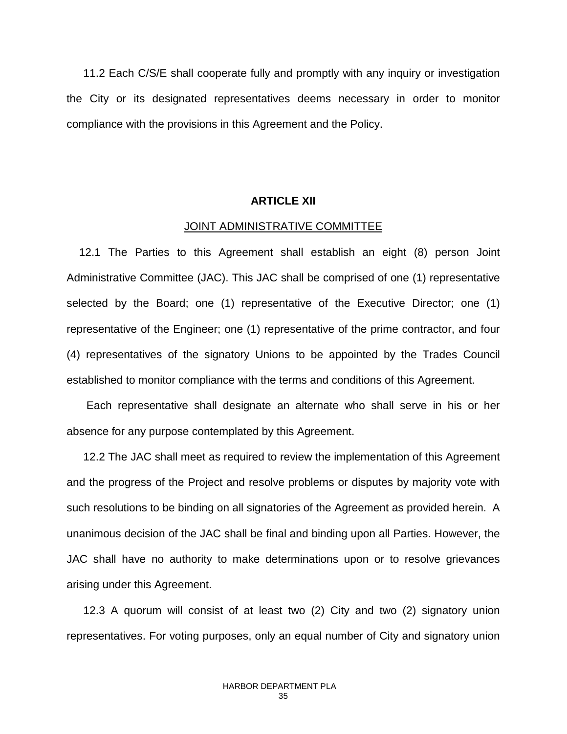11.2 Each C/S/E shall cooperate fully and promptly with any inquiry or investigation the City or its designated representatives deems necessary in order to monitor compliance with the provisions in this Agreement and the Policy.

### **ARTICLE XII**

#### JOINT ADMINISTRATIVE COMMITTEE

 12.1 The Parties to this Agreement shall establish an eight (8) person Joint Administrative Committee (JAC). This JAC shall be comprised of one (1) representative selected by the Board; one (1) representative of the Executive Director; one (1) representative of the Engineer; one (1) representative of the prime contractor, and four (4) representatives of the signatory Unions to be appointed by the Trades Council established to monitor compliance with the terms and conditions of this Agreement.

Each representative shall designate an alternate who shall serve in his or her absence for any purpose contemplated by this Agreement.

12.2 The JAC shall meet as required to review the implementation of this Agreement and the progress of the Project and resolve problems or disputes by majority vote with such resolutions to be binding on all signatories of the Agreement as provided herein. A unanimous decision of the JAC shall be final and binding upon all Parties. However, the JAC shall have no authority to make determinations upon or to resolve grievances arising under this Agreement.

12.3 A quorum will consist of at least two (2) City and two (2) signatory union representatives. For voting purposes, only an equal number of City and signatory union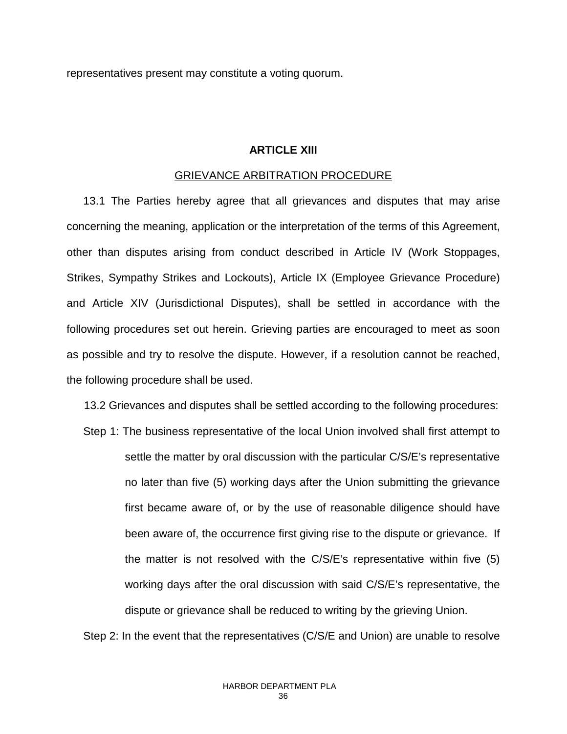representatives present may constitute a voting quorum.

### **ARTICLE XIII**

### GRIEVANCE ARBITRATION PROCEDURE

13.1 The Parties hereby agree that all grievances and disputes that may arise concerning the meaning, application or the interpretation of the terms of this Agreement, other than disputes arising from conduct described in Article IV (Work Stoppages, Strikes, Sympathy Strikes and Lockouts), Article IX (Employee Grievance Procedure) and Article XIV (Jurisdictional Disputes), shall be settled in accordance with the following procedures set out herein. Grieving parties are encouraged to meet as soon as possible and try to resolve the dispute. However, if a resolution cannot be reached, the following procedure shall be used.

13.2 Grievances and disputes shall be settled according to the following procedures:

Step 1: The business representative of the local Union involved shall first attempt to settle the matter by oral discussion with the particular C/S/E's representative no later than five (5) working days after the Union submitting the grievance first became aware of, or by the use of reasonable diligence should have been aware of, the occurrence first giving rise to the dispute or grievance. If the matter is not resolved with the C/S/E's representative within five (5) working days after the oral discussion with said C/S/E's representative, the dispute or grievance shall be reduced to writing by the grieving Union.

Step 2: In the event that the representatives (C/S/E and Union) are unable to resolve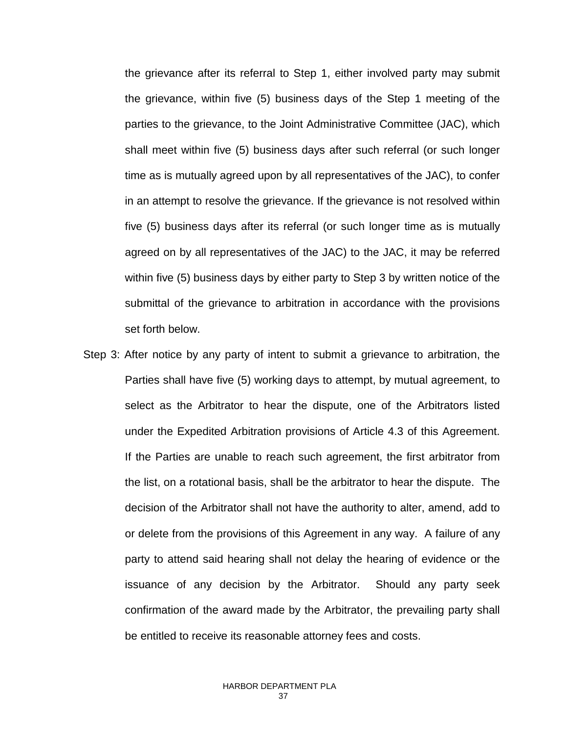the grievance after its referral to Step 1, either involved party may submit the grievance, within five (5) business days of the Step 1 meeting of the parties to the grievance, to the Joint Administrative Committee (JAC), which shall meet within five (5) business days after such referral (or such longer time as is mutually agreed upon by all representatives of the JAC), to confer in an attempt to resolve the grievance. If the grievance is not resolved within five (5) business days after its referral (or such longer time as is mutually agreed on by all representatives of the JAC) to the JAC, it may be referred within five (5) business days by either party to Step 3 by written notice of the submittal of the grievance to arbitration in accordance with the provisions set forth below.

Step 3: After notice by any party of intent to submit a grievance to arbitration, the Parties shall have five (5) working days to attempt, by mutual agreement, to select as the Arbitrator to hear the dispute, one of the Arbitrators listed under the Expedited Arbitration provisions of Article 4.3 of this Agreement. If the Parties are unable to reach such agreement, the first arbitrator from the list, on a rotational basis, shall be the arbitrator to hear the dispute. The decision of the Arbitrator shall not have the authority to alter, amend, add to or delete from the provisions of this Agreement in any way. A failure of any party to attend said hearing shall not delay the hearing of evidence or the issuance of any decision by the Arbitrator. Should any party seek confirmation of the award made by the Arbitrator, the prevailing party shall be entitled to receive its reasonable attorney fees and costs.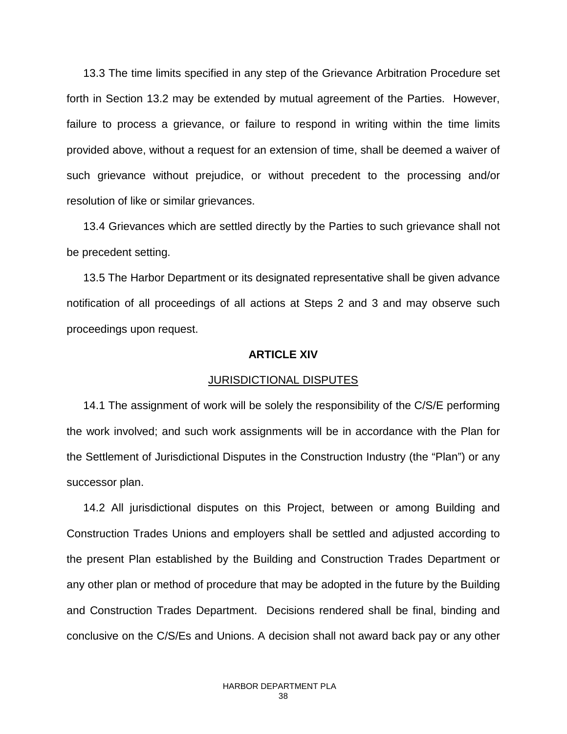13.3 The time limits specified in any step of the Grievance Arbitration Procedure set forth in Section 13.2 may be extended by mutual agreement of the Parties. However, failure to process a grievance, or failure to respond in writing within the time limits provided above, without a request for an extension of time, shall be deemed a waiver of such grievance without prejudice, or without precedent to the processing and/or resolution of like or similar grievances.

13.4 Grievances which are settled directly by the Parties to such grievance shall not be precedent setting.

13.5 The Harbor Department or its designated representative shall be given advance notification of all proceedings of all actions at Steps 2 and 3 and may observe such proceedings upon request.

### **ARTICLE XIV**

### JURISDICTIONAL DISPUTES

14.1 The assignment of work will be solely the responsibility of the C/S/E performing the work involved; and such work assignments will be in accordance with the Plan for the Settlement of Jurisdictional Disputes in the Construction Industry (the "Plan") or any successor plan.

14.2 All jurisdictional disputes on this Project, between or among Building and Construction Trades Unions and employers shall be settled and adjusted according to the present Plan established by the Building and Construction Trades Department or any other plan or method of procedure that may be adopted in the future by the Building and Construction Trades Department. Decisions rendered shall be final, binding and conclusive on the C/S/Es and Unions. A decision shall not award back pay or any other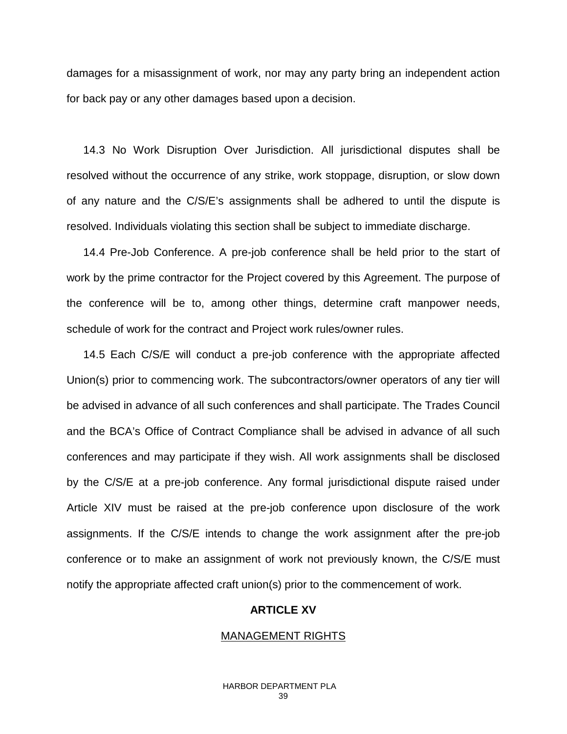damages for a misassignment of work, nor may any party bring an independent action for back pay or any other damages based upon a decision.

14.3 No Work Disruption Over Jurisdiction. All jurisdictional disputes shall be resolved without the occurrence of any strike, work stoppage, disruption, or slow down of any nature and the C/S/E's assignments shall be adhered to until the dispute is resolved. Individuals violating this section shall be subject to immediate discharge.

14.4 Pre-Job Conference. A pre-job conference shall be held prior to the start of work by the prime contractor for the Project covered by this Agreement. The purpose of the conference will be to, among other things, determine craft manpower needs, schedule of work for the contract and Project work rules/owner rules.

14.5 Each C/S/E will conduct a pre-job conference with the appropriate affected Union(s) prior to commencing work. The subcontractors/owner operators of any tier will be advised in advance of all such conferences and shall participate. The Trades Council and the BCA's Office of Contract Compliance shall be advised in advance of all such conferences and may participate if they wish. All work assignments shall be disclosed by the C/S/E at a pre-job conference. Any formal jurisdictional dispute raised under Article XIV must be raised at the pre-job conference upon disclosure of the work assignments. If the C/S/E intends to change the work assignment after the pre-job conference or to make an assignment of work not previously known, the C/S/E must notify the appropriate affected craft union(s) prior to the commencement of work.

### **ARTICLE XV**

### MANAGEMENT RIGHTS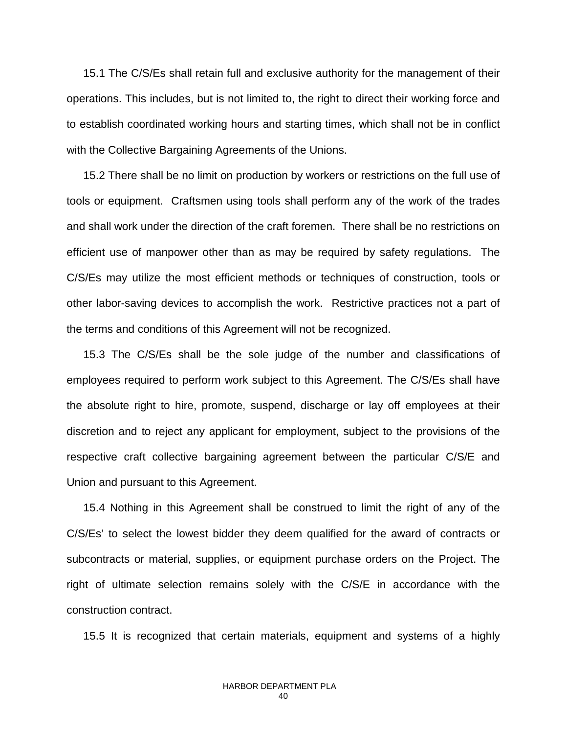15.1 The C/S/Es shall retain full and exclusive authority for the management of their operations. This includes, but is not limited to, the right to direct their working force and to establish coordinated working hours and starting times, which shall not be in conflict with the Collective Bargaining Agreements of the Unions.

15.2 There shall be no limit on production by workers or restrictions on the full use of tools or equipment. Craftsmen using tools shall perform any of the work of the trades and shall work under the direction of the craft foremen. There shall be no restrictions on efficient use of manpower other than as may be required by safety regulations. The C/S/Es may utilize the most efficient methods or techniques of construction, tools or other labor-saving devices to accomplish the work. Restrictive practices not a part of the terms and conditions of this Agreement will not be recognized.

15.3 The C/S/Es shall be the sole judge of the number and classifications of employees required to perform work subject to this Agreement. The C/S/Es shall have the absolute right to hire, promote, suspend, discharge or lay off employees at their discretion and to reject any applicant for employment, subject to the provisions of the respective craft collective bargaining agreement between the particular C/S/E and Union and pursuant to this Agreement.

15.4 Nothing in this Agreement shall be construed to limit the right of any of the C/S/Es' to select the lowest bidder they deem qualified for the award of contracts or subcontracts or material, supplies, or equipment purchase orders on the Project. The right of ultimate selection remains solely with the C/S/E in accordance with the construction contract.

15.5 It is recognized that certain materials, equipment and systems of a highly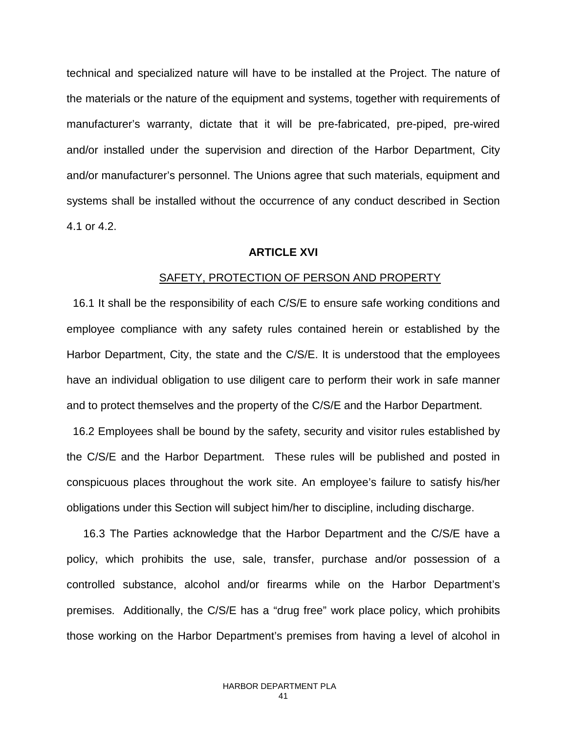technical and specialized nature will have to be installed at the Project. The nature of the materials or the nature of the equipment and systems, together with requirements of manufacturer's warranty, dictate that it will be pre-fabricated, pre-piped, pre-wired and/or installed under the supervision and direction of the Harbor Department, City and/or manufacturer's personnel. The Unions agree that such materials, equipment and systems shall be installed without the occurrence of any conduct described in Section 4.1 or 4.2.

### **ARTICLE XVI**

#### SAFETY, PROTECTION OF PERSON AND PROPERTY

 16.1 It shall be the responsibility of each C/S/E to ensure safe working conditions and employee compliance with any safety rules contained herein or established by the Harbor Department, City, the state and the C/S/E. It is understood that the employees have an individual obligation to use diligent care to perform their work in safe manner and to protect themselves and the property of the C/S/E and the Harbor Department.

 16.2 Employees shall be bound by the safety, security and visitor rules established by the C/S/E and the Harbor Department. These rules will be published and posted in conspicuous places throughout the work site. An employee's failure to satisfy his/her obligations under this Section will subject him/her to discipline, including discharge.

16.3 The Parties acknowledge that the Harbor Department and the C/S/E have a policy, which prohibits the use, sale, transfer, purchase and/or possession of a controlled substance, alcohol and/or firearms while on the Harbor Department's premises. Additionally, the C/S/E has a "drug free" work place policy, which prohibits those working on the Harbor Department's premises from having a level of alcohol in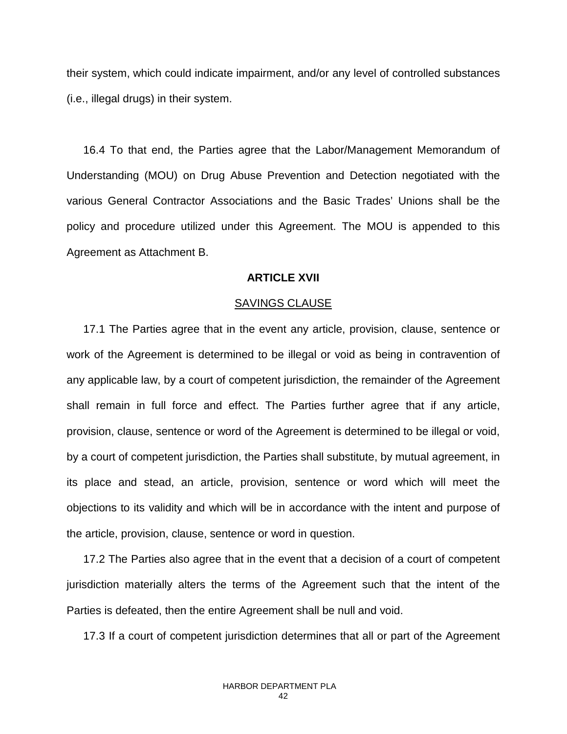their system, which could indicate impairment, and/or any level of controlled substances (i.e., illegal drugs) in their system.

16.4 To that end, the Parties agree that the Labor/Management Memorandum of Understanding (MOU) on Drug Abuse Prevention and Detection negotiated with the various General Contractor Associations and the Basic Trades' Unions shall be the policy and procedure utilized under this Agreement. The MOU is appended to this Agreement as Attachment B.

### **ARTICLE XVII**

### SAVINGS CLAUSE

17.1 The Parties agree that in the event any article, provision, clause, sentence or work of the Agreement is determined to be illegal or void as being in contravention of any applicable law, by a court of competent jurisdiction, the remainder of the Agreement shall remain in full force and effect. The Parties further agree that if any article, provision, clause, sentence or word of the Agreement is determined to be illegal or void, by a court of competent jurisdiction, the Parties shall substitute, by mutual agreement, in its place and stead, an article, provision, sentence or word which will meet the objections to its validity and which will be in accordance with the intent and purpose of the article, provision, clause, sentence or word in question.

17.2 The Parties also agree that in the event that a decision of a court of competent jurisdiction materially alters the terms of the Agreement such that the intent of the Parties is defeated, then the entire Agreement shall be null and void.

17.3 If a court of competent jurisdiction determines that all or part of the Agreement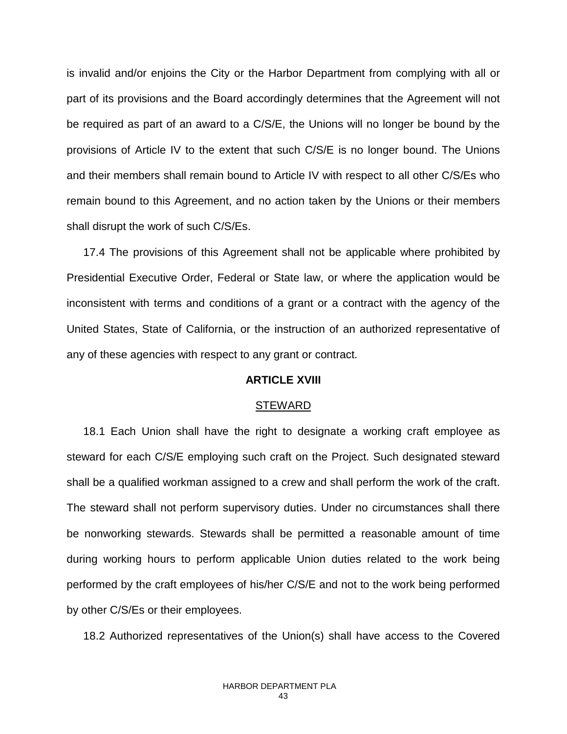is invalid and/or enjoins the City or the Harbor Department from complying with all or part of its provisions and the Board accordingly determines that the Agreement will not be required as part of an award to a C/S/E, the Unions will no longer be bound by the provisions of Article IV to the extent that such C/S/E is no longer bound. The Unions and their members shall remain bound to Article IV with respect to all other C/S/Es who remain bound to this Agreement, and no action taken by the Unions or their members shall disrupt the work of such C/S/Es.

17.4 The provisions of this Agreement shall not be applicable where prohibited by Presidential Executive Order, Federal or State law, or where the application would be inconsistent with terms and conditions of a grant or a contract with the agency of the United States, State of California, or the instruction of an authorized representative of any of these agencies with respect to any grant or contract.

### **ARTICLE XVIII**

### STEWARD

18.1 Each Union shall have the right to designate a working craft employee as steward for each C/S/E employing such craft on the Project. Such designated steward shall be a qualified workman assigned to a crew and shall perform the work of the craft. The steward shall not perform supervisory duties. Under no circumstances shall there be nonworking stewards. Stewards shall be permitted a reasonable amount of time during working hours to perform applicable Union duties related to the work being performed by the craft employees of his/her C/S/E and not to the work being performed by other C/S/Es or their employees.

18.2 Authorized representatives of the Union(s) shall have access to the Covered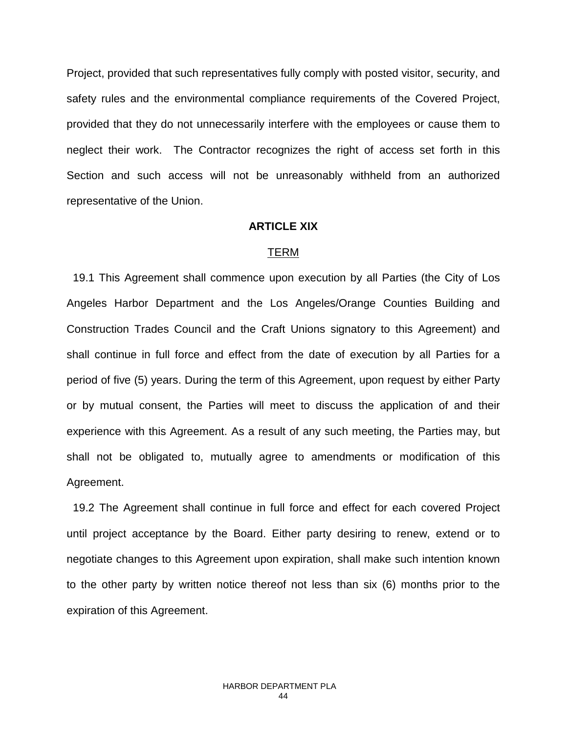Project, provided that such representatives fully comply with posted visitor, security, and safety rules and the environmental compliance requirements of the Covered Project, provided that they do not unnecessarily interfere with the employees or cause them to neglect their work. The Contractor recognizes the right of access set forth in this Section and such access will not be unreasonably withheld from an authorized representative of the Union.

### **ARTICLE XIX**

### TERM

 19.1 This Agreement shall commence upon execution by all Parties (the City of Los Angeles Harbor Department and the Los Angeles/Orange Counties Building and Construction Trades Council and the Craft Unions signatory to this Agreement) and shall continue in full force and effect from the date of execution by all Parties for a period of five (5) years. During the term of this Agreement, upon request by either Party or by mutual consent, the Parties will meet to discuss the application of and their experience with this Agreement. As a result of any such meeting, the Parties may, but shall not be obligated to, mutually agree to amendments or modification of this Agreement.

 19.2 The Agreement shall continue in full force and effect for each covered Project until project acceptance by the Board. Either party desiring to renew, extend or to negotiate changes to this Agreement upon expiration, shall make such intention known to the other party by written notice thereof not less than six (6) months prior to the expiration of this Agreement.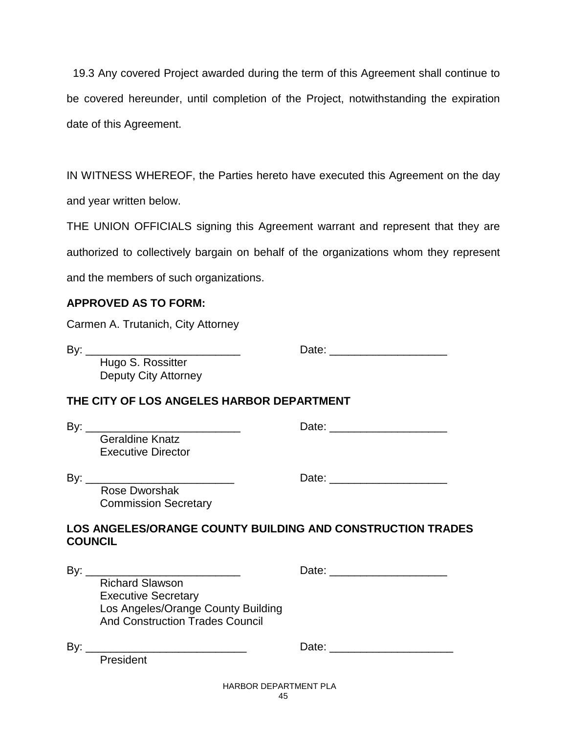19.3 Any covered Project awarded during the term of this Agreement shall continue to be covered hereunder, until completion of the Project, notwithstanding the expiration date of this Agreement.

IN WITNESS WHEREOF, the Parties hereto have executed this Agreement on the day and year written below.

THE UNION OFFICIALS signing this Agreement warrant and represent that they are authorized to collectively bargain on behalf of the organizations whom they represent and the members of such organizations.

### **APPROVED AS TO FORM:**

Carmen A. Trutanich, City Attorney

By: \_\_\_\_\_\_\_\_\_\_\_\_\_\_\_\_\_\_\_\_\_\_\_\_\_ Date: \_\_\_\_\_\_\_\_\_\_\_\_\_\_\_\_\_\_\_

Hugo S. Rossitter Deputy City Attorney

### **THE CITY OF LOS ANGELES HARBOR DEPARTMENT**

| By:                                                 | Date: |  |
|-----------------------------------------------------|-------|--|
| <b>Geraldine Knatz</b><br><b>Executive Director</b> |       |  |
| By:                                                 | Date: |  |

 Rose Dworshak Commission Secretary

| Dale. |  |
|-------|--|
|       |  |
|       |  |

## **LOS ANGELES/ORANGE COUNTY BUILDING AND CONSTRUCTION TRADES COUNCIL**

| By: | <u> 1980 - Andrea Andrew Maria (h. 1980).</u>                                                                                        |                              |                             |
|-----|--------------------------------------------------------------------------------------------------------------------------------------|------------------------------|-----------------------------|
|     | <b>Richard Slawson</b><br><b>Executive Secretary</b><br>Los Angeles/Orange County Building<br><b>And Construction Trades Council</b> |                              |                             |
| By: | President                                                                                                                            |                              | Date: <u>______________</u> |
|     |                                                                                                                                      | <b>HARBOR DEPARTMENT PLA</b> |                             |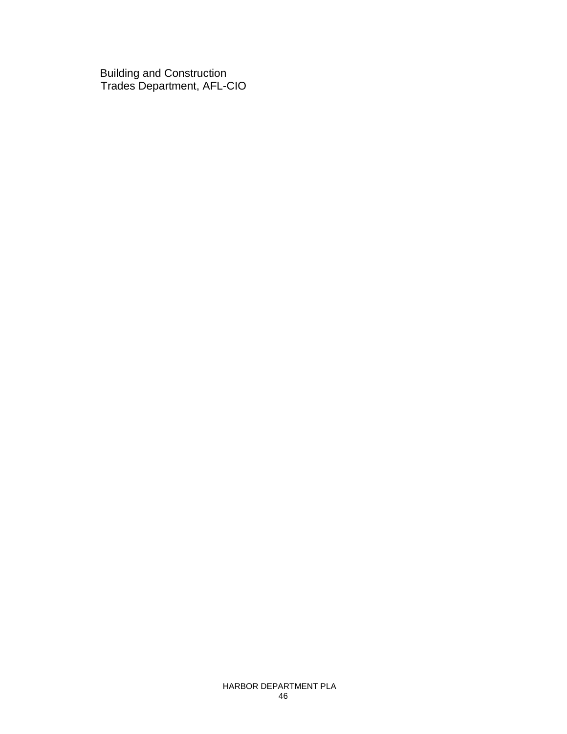Building and Construction Trades Department, AFL-CIO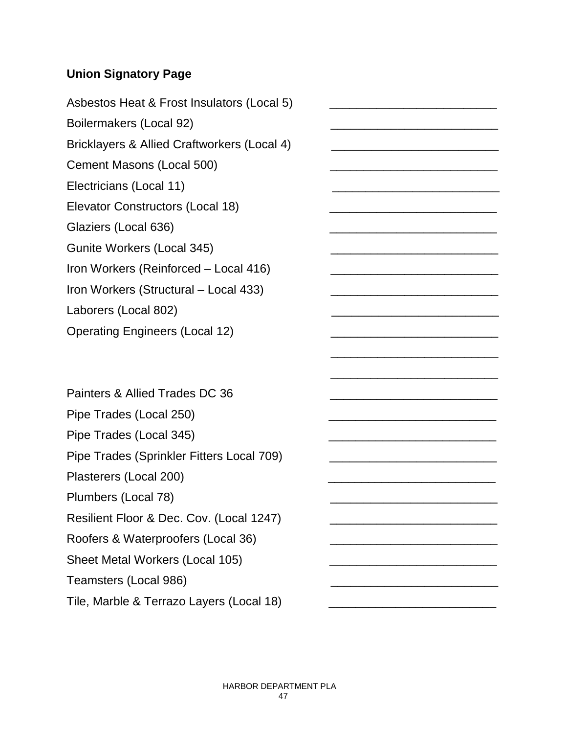# **Union Signatory Page**

Asbestos Heat & Frost Insulators (Local 5) Boilermakers (Local 92) Bricklayers & Allied Craftworkers (Local 4) Cement Masons (Local 500) Electricians (Local 11) Elevator Constructors (Local 18) Glaziers (Local 636) Gunite Workers (Local 345) Iron Workers (Reinforced – Local 416) Iron Workers (Structural – Local 433) Laborers (Local 802) Operating Engineers (Local 12)

Painters & Allied Trades DC 36 Pipe Trades (Local 250) Pipe Trades (Local 345) Pipe Trades (Sprinkler Fitters Local 709) Plasterers (Local 200) Plumbers (Local 78) Resilient Floor & Dec. Cov. (Local 1247) Roofers & Waterproofers (Local 36) Sheet Metal Workers (Local 105) Teamsters (Local 986) \_\_\_\_\_\_\_\_\_\_\_\_\_\_\_\_\_\_\_\_\_\_\_\_\_ Tile, Marble & Terrazo Layers (Local 18)

 $\frac{1}{2}$  , and the contract of the contract of the contract of the contract of the contract of the contract of the contract of the contract of the contract of the contract of the contract of the contract of the contract

\_\_\_\_\_\_\_\_\_\_\_\_\_\_\_\_\_\_\_\_\_\_\_\_\_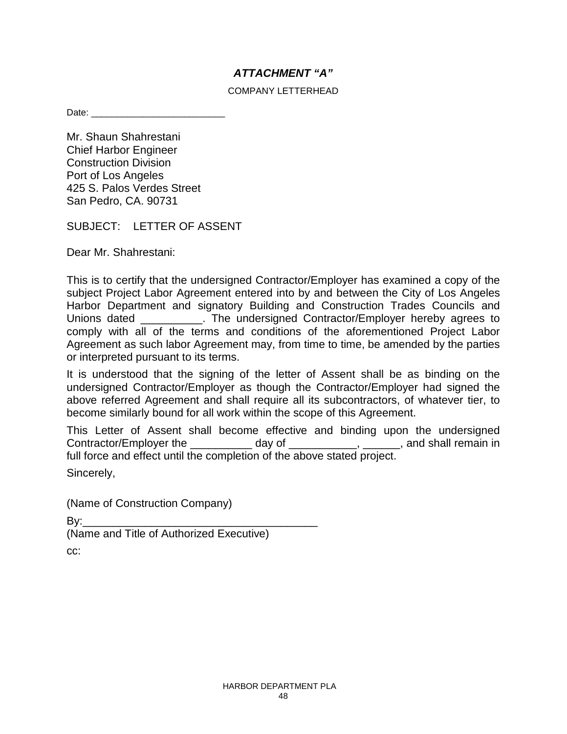### *ATTACHMENT "A"*

### COMPANY LETTERHEAD

Date:

Mr. Shaun Shahrestani Chief Harbor Engineer Construction Division Port of Los Angeles 425 S. Palos Verdes Street San Pedro, CA. 90731

SUBJECT: LETTER OF ASSENT

Dear Mr. Shahrestani:

This is to certify that the undersigned Contractor/Employer has examined a copy of the subject Project Labor Agreement entered into by and between the City of Los Angeles Harbor Department and signatory Building and Construction Trades Councils and Unions dated \_\_\_\_\_\_\_\_\_\_. The undersigned Contractor/Employer hereby agrees to comply with all of the terms and conditions of the aforementioned Project Labor Agreement as such labor Agreement may, from time to time, be amended by the parties or interpreted pursuant to its terms.

It is understood that the signing of the letter of Assent shall be as binding on the undersigned Contractor/Employer as though the Contractor/Employer had signed the above referred Agreement and shall require all its subcontractors, of whatever tier, to become similarly bound for all work within the scope of this Agreement.

This Letter of Assent shall become effective and binding upon the undersigned Contractor/Employer the \_\_\_\_\_\_\_\_\_\_\_\_\_ day of \_\_\_\_\_\_\_\_\_\_\_\_\_, \_\_\_\_\_\_\_, and shall remain in full force and effect until the completion of the above stated project.

Sincerely,

(Name of Construction Company)

By:\_\_\_\_\_\_\_\_\_\_\_\_\_\_\_\_\_\_\_\_\_\_\_\_\_\_\_\_\_\_\_\_\_\_\_\_\_\_

(Name and Title of Authorized Executive)

cc: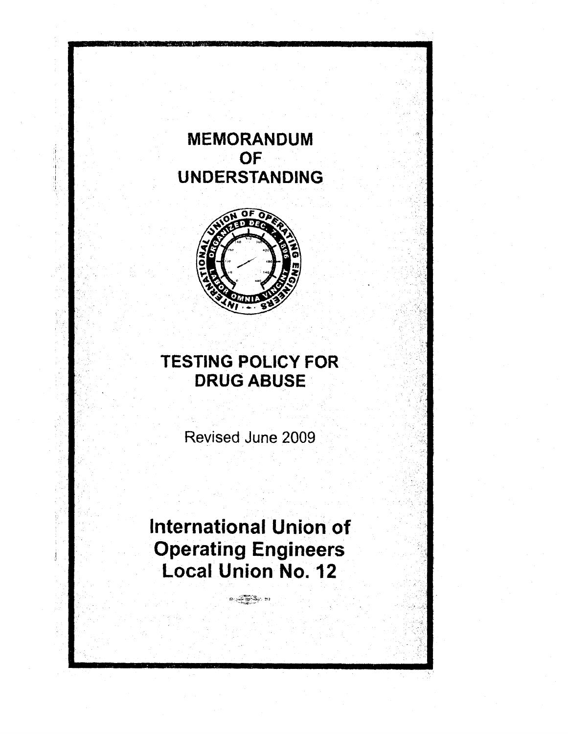# **MEMORANDUM OF UNDERSTANDING**



# **TESTING POLICY FOR** DRUG ABUSE

Revised June 2009

# **International** Union of **Operating Engineers Local Union No. 12**

 $\frac{1}{2}$   $\frac{1}{2}$   $\frac{1}{2}$   $\frac{1}{2}$   $\frac{1}{2}$   $\frac{1}{2}$   $\frac{1}{2}$   $\frac{1}{2}$   $\frac{1}{2}$   $\frac{1}{2}$   $\frac{1}{2}$   $\frac{1}{2}$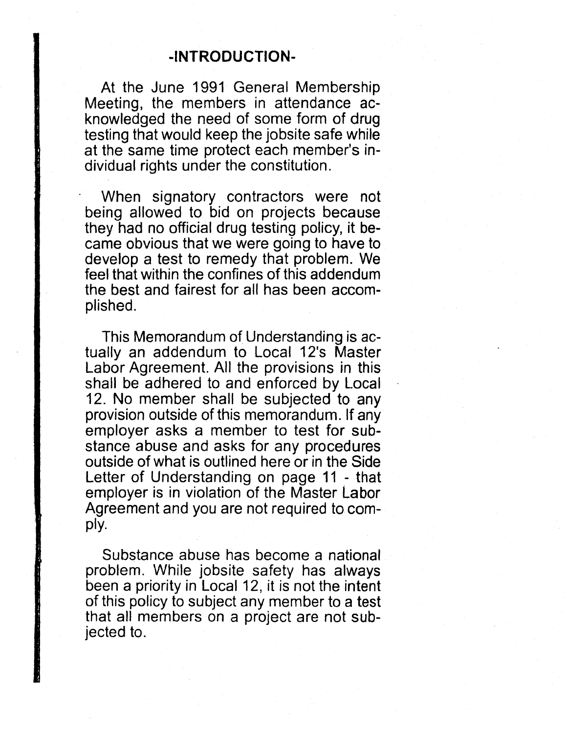At the June 1991 General Membership Meeting, the members in attendance acknowledged the need of some form of drug testing that would keep the jobsite safe while at the same time protect each member's individual rights under the constitution.

When signatory contractors were not being allowed to bid on projects because they had no official drug testing policy, it became obvious that we were going to have to develop a test to remedy that problem. We feel that within the confines of this addendum the best and fairest for all has been accomplished.

This Memorandum of Understanding is actually an addendum to Local 12's Master Labor Agreement. All the provisions in this shall be adhered to and enforced by l.ocal 12. No member shall be subjected to any provision outside of this memorandum. If any employer asks a member to test for substance abuse and asks for any procedures outside of what is outlined here or in the Side Letter of Understanding on page 11 - that employer is in violation of the Master Labor Agreement and you are not required to comply.

Substance abuse has become a national problem. While jobsite safety has always been a priority in Local 12, it is not the intent of this policy to subject any member to a test that all members on a project are not subjected to.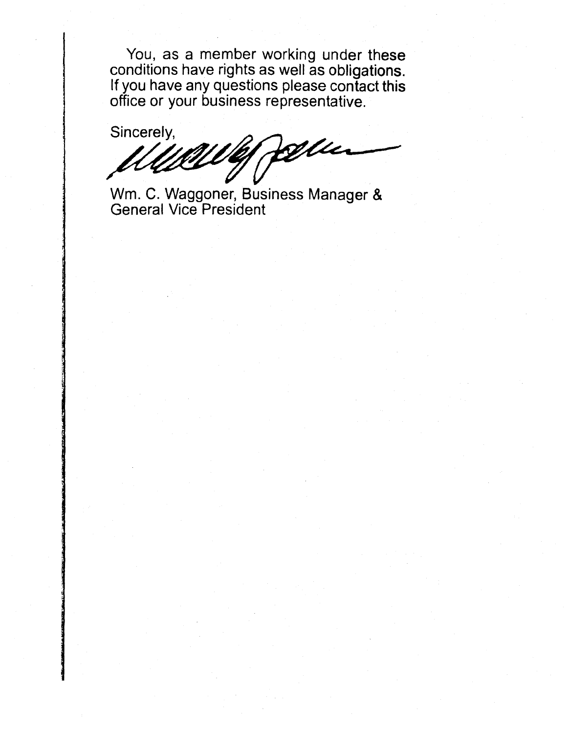You, as a member working under these conditions have rights as well as obligations. If you have any questions please contact this office or your business representative.

Sincerely,

Wm. C. Waggoner, Business Manager & General Vice President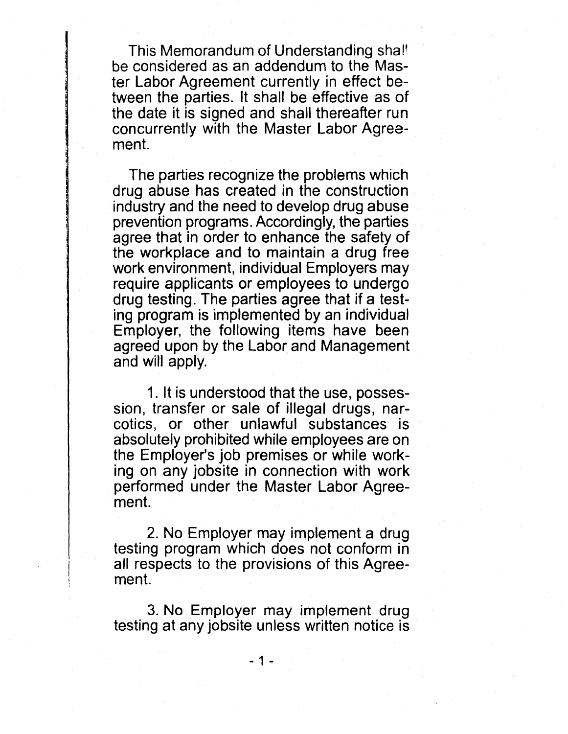This Memorandum of Understanding shal' be considered as an addendum to the Master Labor Agreement currently in effect between the parties. It shall be effective as of the date it is signed and shall thereafter run concurrently with the Master Labor Agreement.

The parties recognize the problems which drug abuse has created in the construction industry and the need to develop drug abuse prevention programs. Accordingly, the parties agree that in order to enhance the safety of the workplace and to maintain a drug free work environment, individual Employers may require applicants or employees to undergo drug testing. The parties agree that if a testing program is implemented by an individual Employer, the following items have been agreed upon by the Labor and Management and will apply.

1. It is understood that the use, possession, transfer or sale of illegal drugs, narcotics, or other unlawful substances is absolutely prohibited while employees are on the Employer's job premises or while working on any jobsite in connection with work performed under the Master Labor Agreement.

2. No Employer may implement a drug testing program which does not conform in all respects to the provisions of this Agreement.

3. No Employer may implement drug testing at any jobsite unless written notice is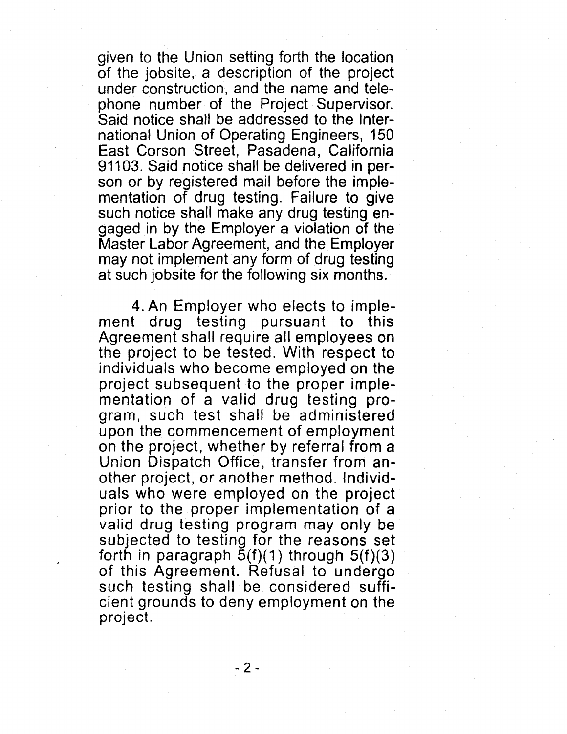given to the Union setting forth the location of the jobsite, a description of the project under construction, and the name and telephone number of the.Project Supervisor. Said notice shall be addressed to the International Union of Operating Engineers, 150 East Corson Street, Pasadena, California 91103. Said notice shall be delivered in person or by registered mail before the implementation of drug testing. Failure to give such notice shall make any drug testing engaged in by the Employer a violation of the Master Labor Agreement, and the Employer may not implement any form of drug testing at such jobsite for the following six months.

4. An Employer who elects to implement drug testing pursuant to this Agreement shall require all employees on the project to be tested. With respect to individuals who become employed on the project subsequent to the proper implementation of a valid drug testing program, such test shall be administered upon the commencement of employment on the project, whether by referral from a Union Dispatch Office, transfer from another project, or another method. Individuals who were employed on the project prior to the proper implementation of a valid drug testing program may only be subjected to testing for the reasons set forth in paragraph  $\bar{5}$ (f)(1) through  $5$ (f)(3) of this Agreement. Refusal to undergo such testing shall be considered sufficient grounds to deny employment on the project.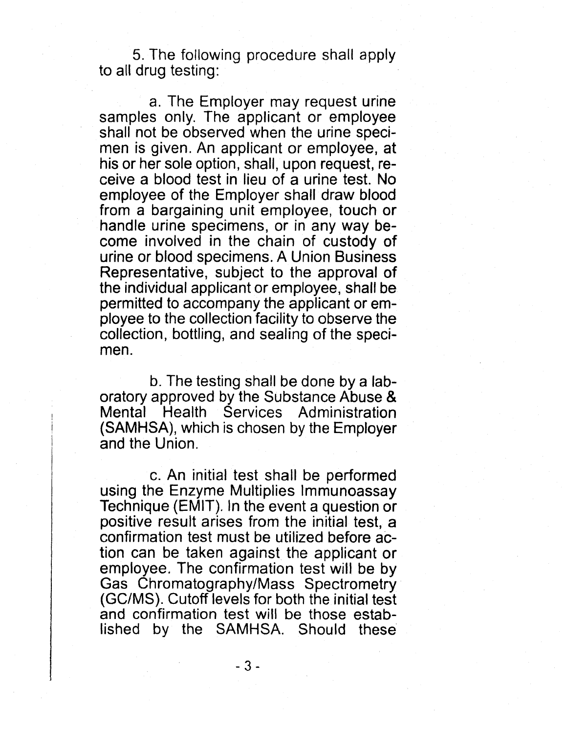5. The foilowing procedure shall apply to all drug testing:

a. The Employer may request urine samples only. The applicant or employee shall not be observed when the urine specimen is given. An applicant or employee, at his or her sole option, shall, upon request, receive a blood test in lieu of a urine test. No employee of the Employer shall draw blood from a bargaining unit employee, touch or handle urine specimens, or in any way become involved in the chain of custody of urine or blood specimens. A Union Business Representative, subject to the approval of the individual applicant or employee, shall be permitted to accompany the applicant or employee to the collection facility to observe the collection, bottling, and sealing of the specimen.

b. The testing shall be done by a laboratory approved by the Substance Abuse & Mental Health Services Administration (SAMHSA), which is chosen by the Employer and the Union.

c. An initial test shall be performed using the Enzyme Multiplies Immunoassay Technique (EMIT). In the event a question or positive result arises from the initial test, a confirmation test must be utilized before action can be taken against the applicant or employee. The confirmation test will be by Gas Chromatography/Mass Spectrometry (GC/MS). Cutoff levels for both the initial test and confirmation test will be those established by the SAMHSA. Should these

- 3 -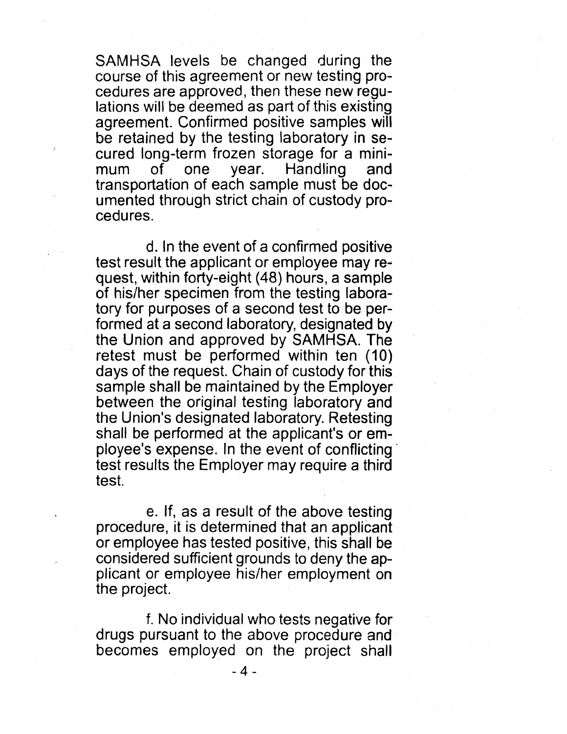SAMHSA levels be changed during the course of this agreement or new testing procedures are approved, then these new regulations will be deemed as part of this existing agreement. Confirmed positive samples will be retained by the testing laboratory in secured long-term frozen storage for a minimum of one year. Handling and transportation of each sample must be documented through strict chain of custody procedures.

d. In the event of a confirmed positive test result the applicant or employee may request, within forty-eight (48) hours, a sample of his/her specimen from the testing laboratory for purposes of a second test to be performed at a second laboratory, designated by the Union and approved by SAMHSA. The retest must be performed within ten (10) days of the request. Chain of custody for this sample shall be maintained by the Employer between the original testing laboratory and the Union's designated laboratory. Retesting shall be performed at the applicant's or employee's expense. In the event of conflicting' test results the Employer may require a third test.

e. If, as a result of the above testing procedure, it is determined that an applicant or employee has tested positive, this shall be considered sufficient grounds to deny the applicant or employee his/her employment on the project.

f. No individual who tests negative for drugs pursuant to the above procedure and becomes employed on the project shall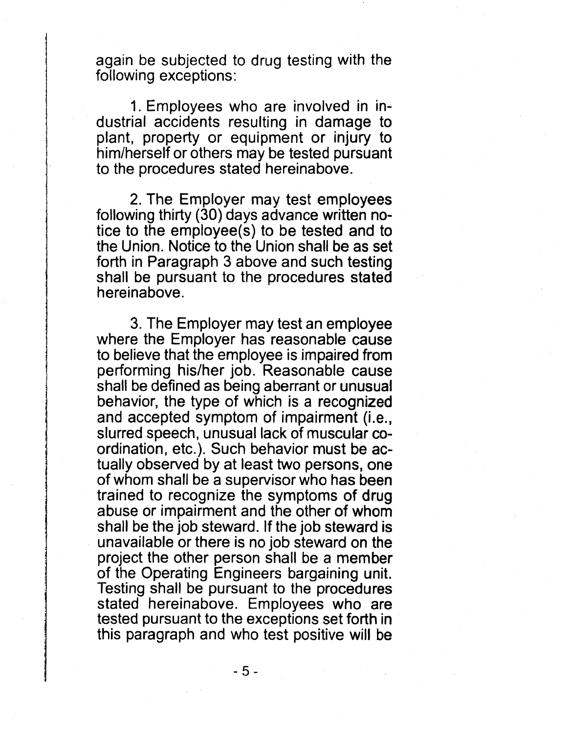again be subjected to drug testing with the following exceptions:

1. Employees who are involved in industrial accidents resulting in damage to plant, property or equipment or injury to him/herself or others may be tested pursuant to the procedures stated hereinabove.

2. The Employer may test employees following thirty (30) days advance written notice to the employee(s) to be tested and to the Union. Notice to the Union shall be as set forth in Paragraph 3 above and such testing shall be pursuant to the procedures stated hereinabove.

3. The Employer may test an employee where the Employer has reasonable cause to believe that the employee is impaired from performing his/her job. Reasonable cause shall be defined as being aberrant or unusual behavior, the type of which is a recognized and accepted symptom of impairment (i.e., slurred speech, unusual lack of muscular coordination, etc.). Such behavior must be actually observed by at least two persons, one of whom shall be a supervisor who has been trained to recognize the symptoms of drug abuse or impairment and the other of whom shall be the job steward. If the job steward is unavailable or there is no job steward on the project the other person shall be a member of the Operating Engineers bargaining unit. Testing shall be pursuant to the procedures stated hereinabove. Employees who are tested pursuant to the exceptions set forth in this paragraph and who test positive will be

- 5 -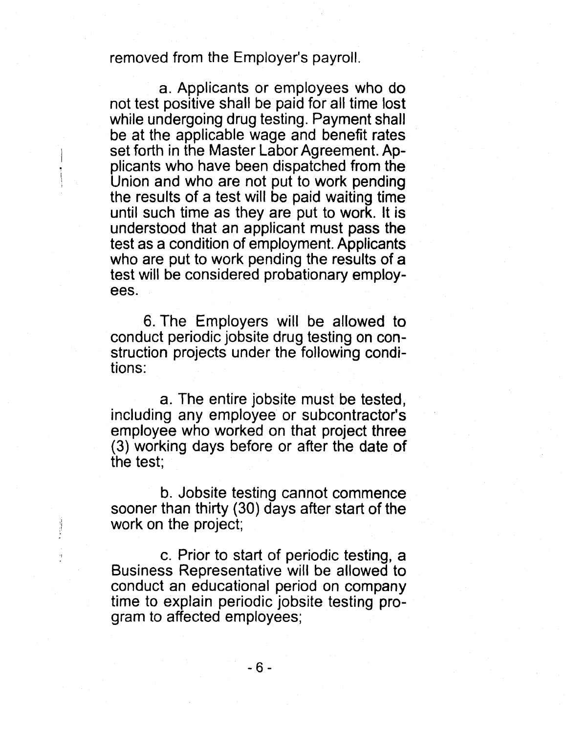# removed from the Employer's payroll.

a. Applicants or employees who do not test positive shall be paid for all time lost while undergoing drug testing. Payment shall be at the applicable wage and benefit rates set forth in the Master Labor Agreement. Applicants who have been dispatched from the Union and who are not put to work pending the results of a test will be paid waiting time until such time as they are put to work. It is understood that an applicant must pass the test as a condition of employment. Applicants who are put to work pending the results of a test will be considered probationary employees.

6. The Employers will be allowed to conduct periodic jobsite drug testing on construction projects under the following conditions:

a. The entire jobsite must be tested, including any employee or subcontractor's employee who worked on that project three (3) working days before or after the date of the test;

b. Jobsite testing cannot commence sooner than thirty (30) days after start of the work on the project;

c. Prior to start of periodic testing, a Business Representative will be allowed to conduct an educational period on company time to explain periodic jobsite testing program to affected employees;

- 6 -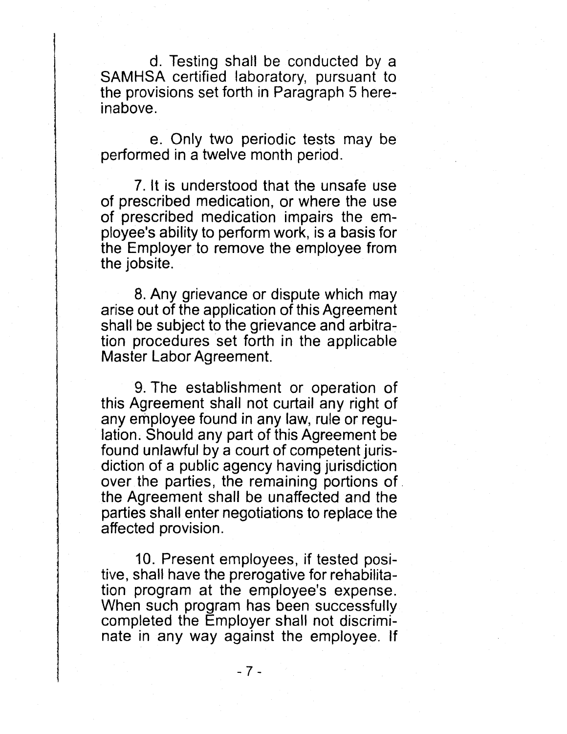d. Testing shall be conducted by a SAMHSA certified laboratory, pursuant to the provisions set forth in Paragraph 5 hereinabove.

e. Only two periodic tests may be performed in a twelve month period.

7. It is understood that the unsafe use of prescribed medication, or where the use of prescribed medication impairs the employee's ability to perform work, is a basis for the Employer to remove the employee from the jobsite.

8. Any grievance or dispute which may arise out of the application of this Agreement shall be subject to the grievance and arbitration procedures set forth in the applicable Master Labor Agreement.

9. The establishment or operation of this Agreement shall not curtail any right of any employee found in any law, rule or regulation. Should any part of this Agreement be found unlawful by a court of competent jurisdiction of a public agency having jurisdiction over the parties, the remaining portions of. the Agreement shall be unaffected and the parties shall enter negotiations to replace the affected provision.

10. Present employees, if tested positive, shall have the prerogative for rehabilitation program at the employee's expense. When such program has been successfully completed the Employer shall not discriminate in any way against the employee. If

- 7 -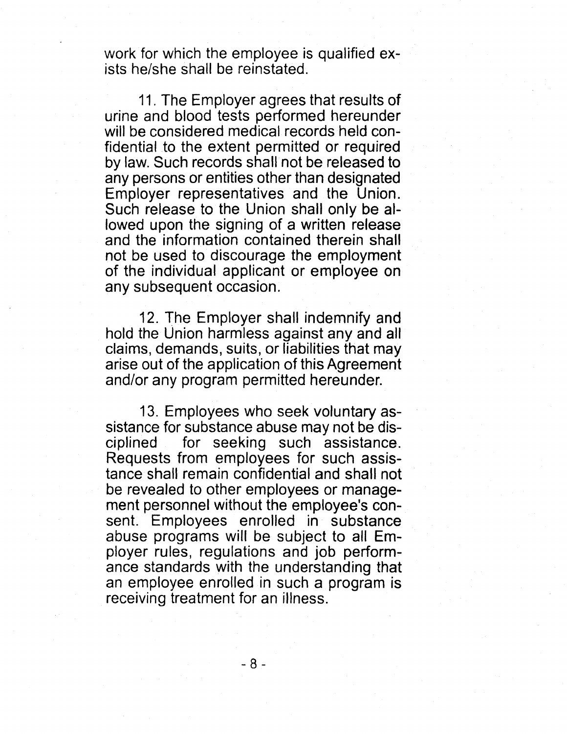work for which the employee is qualified exists he/she shall be reinstated.

11. The Employer agrees that results of urine and blood tests performed hereunder will be considered medical records held confidential to the extent permitted or required by law. Such records shall not be released to any persons or entities other than designated Employer representatives and the Union. Such release to the Union shall only be allowed upon the signing of a written release and the information contained therein shall not be used to discourage the employment of the individual applicant or employee on any subsequent occasion.

12. The Employer shall indemnify and hold the Union harmless against any and all claims, demands, suits, or liabilities that may arise out of the application of this Agreement and/or any program permitted hereunder.

13. Employees who seek voluntary assistance for substance abuse may not be disciplined for seeking such assistance. Requests from employees for such assistance shall remain confidential and shall not be revealed to other employees or management personnel without the employee's consent. Employees enrolled in substance abuse programs will be subject to all Employer rules, regulations and job performance standards with the understanding that an employee enrolled in such a program is receiving treatment for an illness.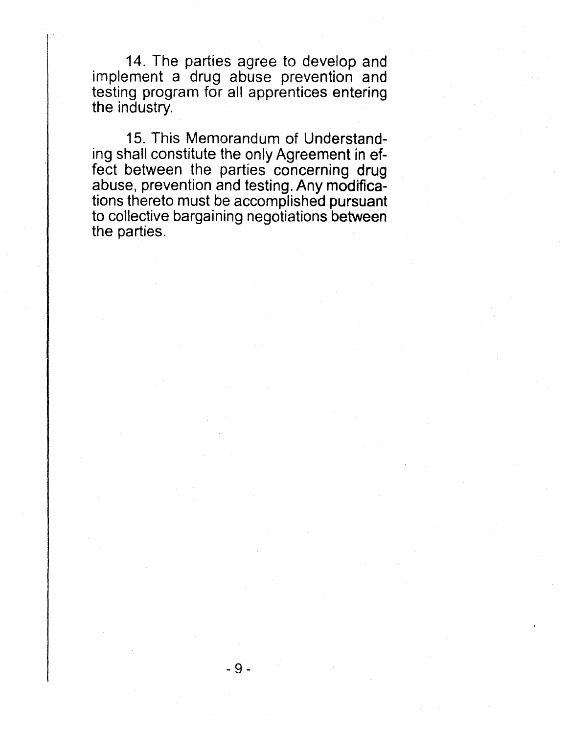14. The parties agree to develop and implement a drug abuse prevention and testing program for all apprentices entering the industry.

15. This Memorandum of Understanding shall constitute the only Agreement in effect between the parties concerning drug abuse, prevention and testing. Any modifications thereto must be accomplished pursuant to collective bargaining negotiations between the parties.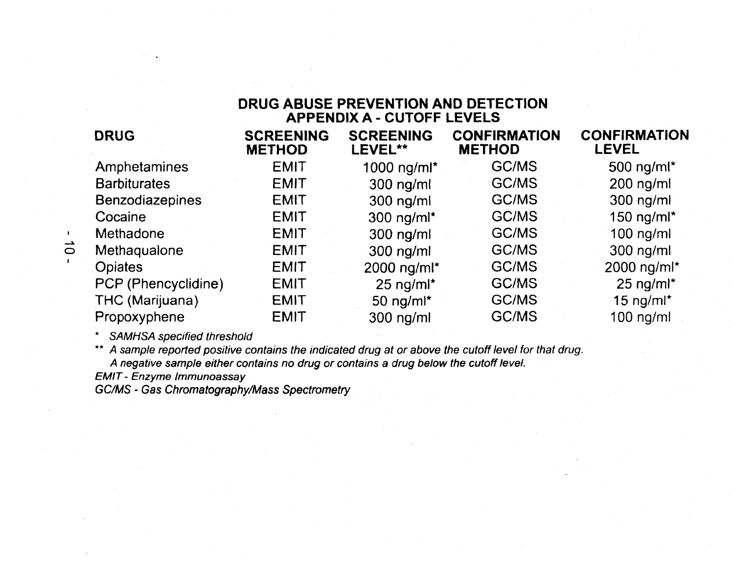## **DRUG ABUSE PREVENTION AND DETECTION APPENDIX A - CUTOFF LEVELS**

| <b>DRUG</b>            | <b>SCREENING</b><br><b>METHOD</b> | <b>SCREENING</b><br>LEVEL**  | <b>CONFIRMATION</b><br><b>METHOD</b> | <b>CONFIRMATION</b><br><b>LEVEL</b> |
|------------------------|-----------------------------------|------------------------------|--------------------------------------|-------------------------------------|
| Amphetamines           | <b>EMIT</b>                       | 1000 ng/ml*                  | <b>GC/MS</b>                         | 500 ng/m $\mathsf{I}^{\star}$       |
| <b>Barbiturates</b>    | <b>EMIT</b>                       | $300$ ng/ml                  | GC/MS                                | $200$ ng/ml                         |
| <b>Benzodiazepines</b> | <b>EMIT</b>                       | $300$ ng/ml                  | <b>GC/MS</b>                         | $300$ ng/ml                         |
| Cocaine                | <b>EMIT</b>                       | 300 ng/ml*                   | GC/MS                                | 150 ng/m $\sim$                     |
| Methadone              | <b>EMIT</b>                       | $300$ ng/ml                  | GC/MS                                | $100$ ng/ml                         |
| Methaqualone           | <b>EMIT</b>                       | $300$ ng/ml                  | GC/MS                                | $300$ ng/ml                         |
| <b>Opiates</b>         | <b>EMIT</b>                       | 2000 ng/ml*                  | GC/MS                                | 2000 ng/ml*                         |
| PCP (Phencyclidine)    | <b>EMIT</b>                       | $25$ ng/m $\text{I}^{\star}$ | GC/MS                                | $25$ ng/m $\text{m}^{\star}$        |
| THC (Marijuana)        | <b>EMIT</b>                       | 50 ng/ml*                    | <b>GC/MS</b>                         | 15 ng/m $\mathsf{I}^{\star}$        |
| Propoxyphene           | <b>EMIT</b>                       | $300$ ng/ml                  | GC/MS                                | $100$ ng/ml                         |
|                        |                                   |                              |                                      |                                     |

SAMHSA specified threshold

 $\mathbf{I}$  $\vec{o}$ 

> \*\* A sample reported positive contains the indicated drug at or above the cutoff level for that drug. A negative sample either contains no drug or contains a drug below the cutoff level.

EMIT - Enzyme Immunoassay

GC/MS - Gas Chromatography/Mass Spectrometry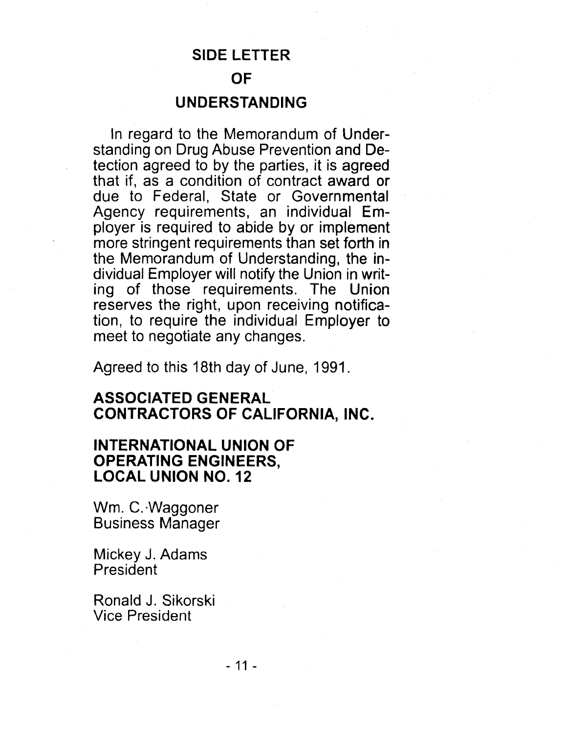# **SIDE LETTER**

# **OF**

# **UNDERSTANDING**

In regard to the Memorandum of Understanding on Drug Abuse Prevention and Detection agreed to by the parties, it is agreed that if, as a condition of contract award or due to Federal, State or Governmental Agency requirements, an individual Employer is required to abide by or implement more stringent requirements than set forth in the Memorandum of Understanding, the individual Employer will notify the Union in writing of those requirements. The Union reserves the right, upon receiving notification, to require the individual Employer to meet to negotiate any changes.

Agreed to this 18th day of June, 1991.

# **ASSOCIATED GENERAL CONTRACTORS OF CALIFORNIA, INC.**

# **INTERNATIONAL UNION OF OPERATING ENGINEERS, LOCAL UNION NO. 12**

Wm. C. ·Waggoner Business Manager

Mickey J. Adams President

Ronald J. Sikorski Vice President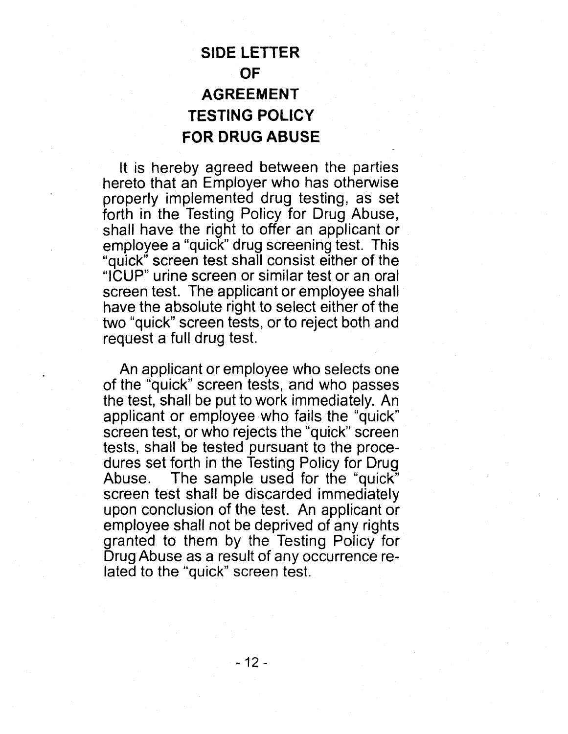# **SIDE LETTER OF AGREEMENT TESTING POLICY FOR DRUG ABUSE**

It is hereby agreed between the parties hereto that an Employer who has otherwise properly implemented drug testing, as set forth in the Testing Policy for Drug Abuse, shall have the right to offer an applicant or employee a "quick" drug screening test. This "quick" screen test shall consist either of the "ICUP" urine screen or similar test or an oral screen test. The applicant or employee shall have the absolute right to select either of the two "quick" screen tests, or to reject both and request a full drug test.

An applicant or employee who selects one of the "quick" screen tests, and who passes the test, shall be put to work immediately. An applicant or employee who fails the "quick" screen test, or who rejects the "quick" screen tests, shall be tested pursuant to the procedures set forth in the Testing Policy for Drug Abuse. The sample used for the "quick" screen test shall be discarded immediately upon conclusion of the test. An applicant or employee shall not be deprived of any rights granted to them by the Testing Policy for Drug Abuse as a result of any occurrence related to the "quick" screen test.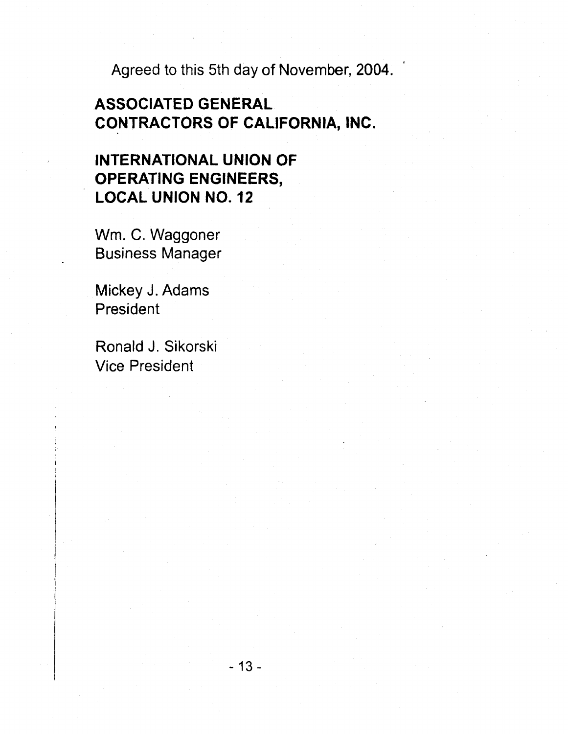Agreed to this 5th day of November, 2004.

# **ASSOCIATED GENERAL CONTRACTORS OF CALIFORNIA, INC.**

# **INTERNATIONAL UNION OF OPERATING ENGINEERS, LOCAL UNION NO. 12**

Wm. C. Waggoner Business Manager

Mickey J. Adams President

Ronald J. Sikorski Vice President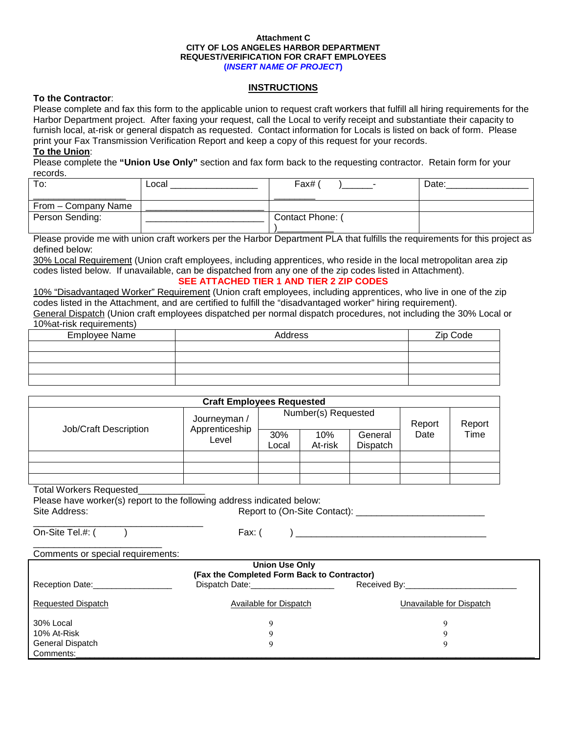#### **Attachment C CITY OF LOS ANGELES HARBOR DEPARTMENT REQUEST/VERIFICATION FOR CRAFT EMPLOYEES (***INSERT NAME OF PROJECT***)**

### **INSTRUCTIONS**

### **To the Contractor**:

Please complete and fax this form to the applicable union to request craft workers that fulfill all hiring requirements for the Harbor Department project. After faxing your request, call the Local to verify receipt and substantiate their capacity to furnish local, at-risk or general dispatch as requested. Contact information for Locals is listed on back of form. Please print your Fax Transmission Verification Report and keep a copy of this request for your records. **To the Union** :

Please complete the **"Union Use Only"** section and fax form back to the requesting contractor. Retain form for your records.

| To:                 | ∟ocal | Fax#           | Date: |
|---------------------|-------|----------------|-------|
|                     |       |                |       |
| From – Company Name |       |                |       |
| Person Sending:     |       | Contact Phone: |       |
|                     |       |                |       |

Please provide me with union craft workers per the Harbor Department PLA that fulfills the requirements for this project as defined below:

<u>30% Local Requirement</u> (Union craft employees, including apprentices, who reside in the local metropolitan area zip **SEE ATTACHED TIER 1 AND TIER 2 ZIP CODES** codes listed below. If unavailable, can be dispatched from any one of the zip codes listed in Attachment).

10% "Disadvantaged Worker" Requirement (Union craft employees, including apprentices, who live in one of the zip codes listed in the Attachment, and are certified to fulfill the "disadvantaged worker" hiring requirement). General Dispatch (Union craft employees dispatched per normal dispatch procedures, not including the 30% Local or 10%at-risk requirements)

| <b>1070aCHORTCQUILCHIOLGI</b> |         |          |  |  |  |  |
|-------------------------------|---------|----------|--|--|--|--|
| <b>Employee Name</b>          | Address | Zip Code |  |  |  |  |
|                               |         |          |  |  |  |  |
|                               |         |          |  |  |  |  |
|                               |         |          |  |  |  |  |
|                               |         |          |  |  |  |  |

| <b>Craft Employees Requested</b> |                                         |                     |                |                     |        |        |
|----------------------------------|-----------------------------------------|---------------------|----------------|---------------------|--------|--------|
|                                  | Journeyman /<br>Apprenticeship<br>Level | Number(s) Requested |                |                     | Report | Report |
| Job/Craft Description            |                                         | 30%<br>Local        | 10%<br>At-risk | General<br>Dispatch | Date   | Time   |
|                                  |                                         |                     |                |                     |        |        |
|                                  |                                         |                     |                |                     |        |        |
|                                  |                                         |                     |                |                     |        |        |

#### Total Workers Requested\_\_\_\_\_\_\_\_\_\_\_\_\_

Please have worker(s) report to the following address indicated below:

Report to (On-Site Contact):

\_\_\_\_\_\_\_\_\_\_\_\_\_\_\_\_\_\_\_\_\_\_\_\_\_\_\_\_\_\_\_\_\_ On-Site Tel.#: ()

Site Address:

Fax: ( ) \_\_\_\_\_\_\_\_\_\_\_\_\_\_\_\_\_\_\_\_\_\_\_\_\_\_\_\_\_\_\_\_\_\_\_\_\_

#### \_\_\_\_\_\_\_\_\_\_\_\_\_\_\_\_\_\_\_\_\_\_\_\_\_ Comments or special requirements:

|                           | <b>Union Use Only</b>                       |                                     |
|---------------------------|---------------------------------------------|-------------------------------------|
|                           | (Fax the Completed Form Back to Contractor) |                                     |
| Reception Date:           | Dispatch Date:_____________________         | Received By: ______________________ |
| <b>Requested Dispatch</b> | Available for Dispatch                      | Unavailable for Dispatch            |
| 30% Local                 |                                             |                                     |
| 10% At-Risk               |                                             |                                     |
| <b>General Dispatch</b>   |                                             |                                     |
| Comments:                 |                                             |                                     |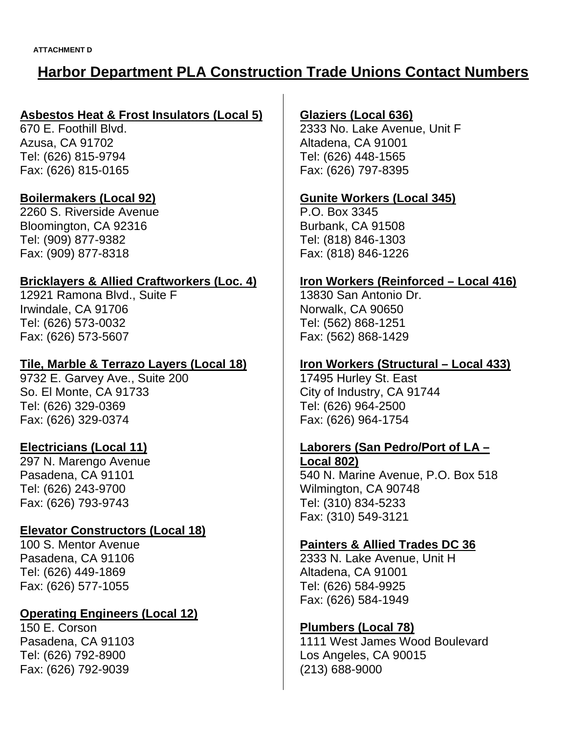# **Harbor Department PLA Construction Trade Unions Contact Numbers**

# **Asbestos Heat & Frost Insulators (Local 5)**

670 E. Foothill Blvd. Azusa, CA 91702 Tel: (626) 815-9794 Fax: (626) 815-0165

# **Boilermakers (Local 92)**

2260 S. Riverside Avenue Bloomington, CA 92316 Tel: (909) 877-9382 Fax: (909) 877-8318

## **Bricklayers & Allied Craftworkers (Loc. 4)**

12921 Ramona Blvd., Suite F Irwindale, CA 91706 Tel: (626) 573-0032 Fax: (626) 573-5607

# **Tile, Marble & Terrazo Layers (Local 18)**

9732 E. Garvey Ave., Suite 200 So. El Monte, CA 91733 Tel: (626) 329-0369 Fax: (626) 329-0374

## **Electricians (Local 11)**

297 N. Marengo Avenue Pasadena, CA 91101 Tel: (626) 243-9700 Fax: (626) 793-9743

# **Elevator Constructors (Local 18)**

100 S. Mentor Avenue Pasadena, CA 91106 Tel: (626) 449-1869 Fax: (626) 577-1055

# **Operating Engineers (Local 12)**

150 E. Corson Pasadena, CA 91103 Tel: (626) 792-8900 Fax: (626) 792-9039

## **Glaziers (Local 636)**

2333 No. Lake Avenue, Unit F Altadena, CA 91001 Tel: (626) 448-1565 Fax: (626) 797-8395

## **Gunite Workers (Local 345)**

P.O. Box 3345 Burbank, CA 91508 Tel: (818) 846-1303 Fax: (818) 846-1226

# **Iron Workers (Reinforced – Local 416)**

13830 San Antonio Dr. Norwalk, CA 90650 Tel: (562) 868-1251 Fax: (562) 868-1429

# **Iron Workers (Structural – Local 433)**

17495 Hurley St. East City of Industry, CA 91744 Tel: (626) 964-2500 Fax: (626) 964-1754

### **Laborers (San Pedro/Port of LA – Local 802)**

540 N. Marine Avenue, P.O. Box 518 Wilmington, CA 90748 Tel: (310) 834-5233 Fax: (310) 549-3121

## **Painters & Allied Trades DC 36**

2333 N. Lake Avenue, Unit H Altadena, CA 91001 Tel: (626) 584-9925 Fax: (626) 584-1949

## **Plumbers (Local 78)**

1111 West James Wood Boulevard Los Angeles, CA 90015 (213) 688-9000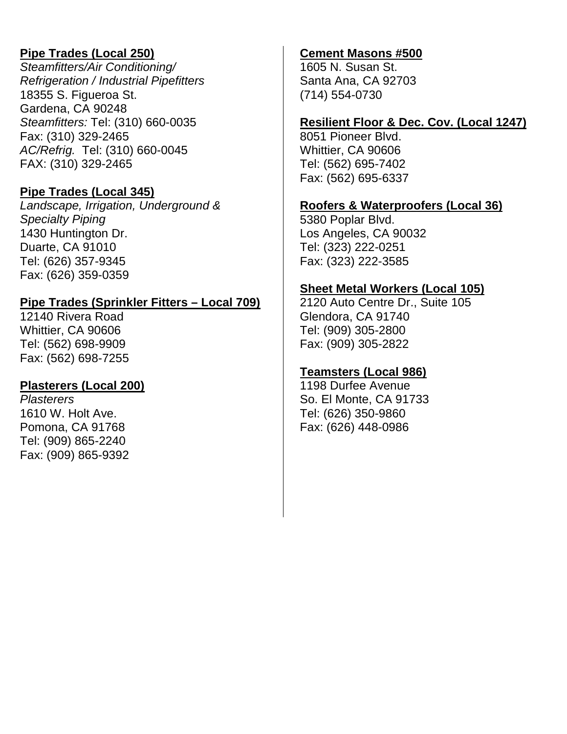# **Pipe Trades (Local 250)**

*Steamfitters/Air Conditioning/ Refrigeration / Industrial Pipefitters* 18355 S. Figueroa St. Gardena, CA 90248 *Steamfitters:* Tel: (310) 660-0035 Fax: (310) 329-2465 *AC/Refrig.* Tel: (310) 660-0045 FAX: (310) 329-2465

## **Pipe Trades (Local 345)**

*Landscape, Irrigation, Underground & Specialty Piping* 1430 Huntington Dr. Duarte, CA 91010 Tel: (626) 357-9345 Fax: (626) 359-0359

# **Pipe Trades (Sprinkler Fitters – Local 709)**

12140 Rivera Road Whittier, CA 90606 Tel: (562) 698-9909 Fax: (562) 698-7255

## **Plasterers (Local 200)**

*Plasterers* 1610 W. Holt Ave. Pomona, CA 91768 Tel: (909) 865-2240 Fax: (909) 865-9392

# **Cement Masons #500**

1605 N. Susan St. Santa Ana, CA 92703 (714) 554-0730

## **Resilient Floor & Dec. Cov. (Local 1247)**

8051 Pioneer Blvd. Whittier, CA 90606 Tel: (562) 695-7402 Fax: (562) 695-6337

## **Roofers & Waterproofers (Local 36)**

5380 Poplar Blvd. Los Angeles, CA 90032 Tel: (323) 222-0251 Fax: (323) 222-3585

### **Sheet Metal Workers (Local 105)**

2120 Auto Centre Dr., Suite 105 Glendora, CA 91740 Tel: (909) 305-2800 Fax: (909) 305-2822

## **Teamsters (Local 986)**

1198 Durfee Avenue So. El Monte, CA 91733 Tel: (626) 350-9860 Fax: (626) 448-0986